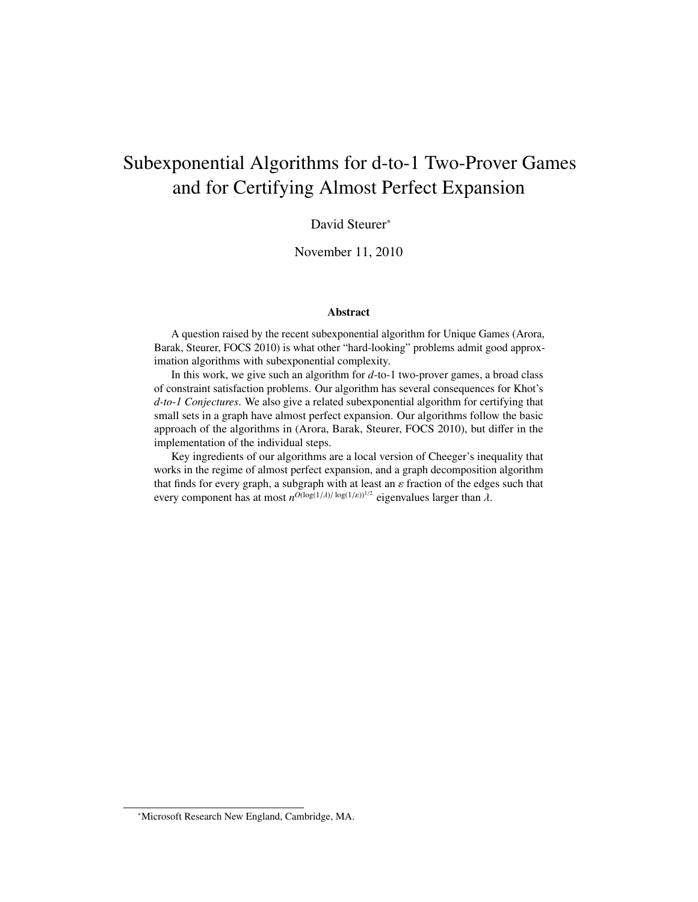# <span id="page-0-0"></span>Subexponential Algorithms for d-to-1 Two-Prover Games and for Certifying Almost Perfect Expansion

#### David Steurer<sup>∗</sup>

November 11, 2010

#### Abstract

A question raised by the recent subexponential algorithm for Unique Games (Arora, Barak, Steurer, FOCS 2010) is what other "hard-looking" problems admit good approximation algorithms with subexponential complexity.

In this work, we give such an algorithm for *d*-to-1 two-prover games, a broad class of constraint satisfaction problems. Our algorithm has several consequences for Khot's *d-to-1 Conjectures*. We also give a related subexponential algorithm for certifying that small sets in a graph have almost perfect expansion. Our algorithms follow the basic approach of the algorithms in (Arora, Barak, Steurer, FOCS 2010), but differ in the implementation of the individual steps.

Key ingredients of our algorithms are a local version of Cheeger's inequality that works in the regime of almost perfect expansion, and a graph decomposition algorithm that finds for every graph, a subgraph with at least an  $\varepsilon$  fraction of the edges such that every component has at most  $n^{O(\log(1/\lambda)/\log(1/\varepsilon))^{1/2}}$  eigenvalues larger than  $\lambda$ .

<sup>∗</sup>Microsoft Research New England, Cambridge, MA.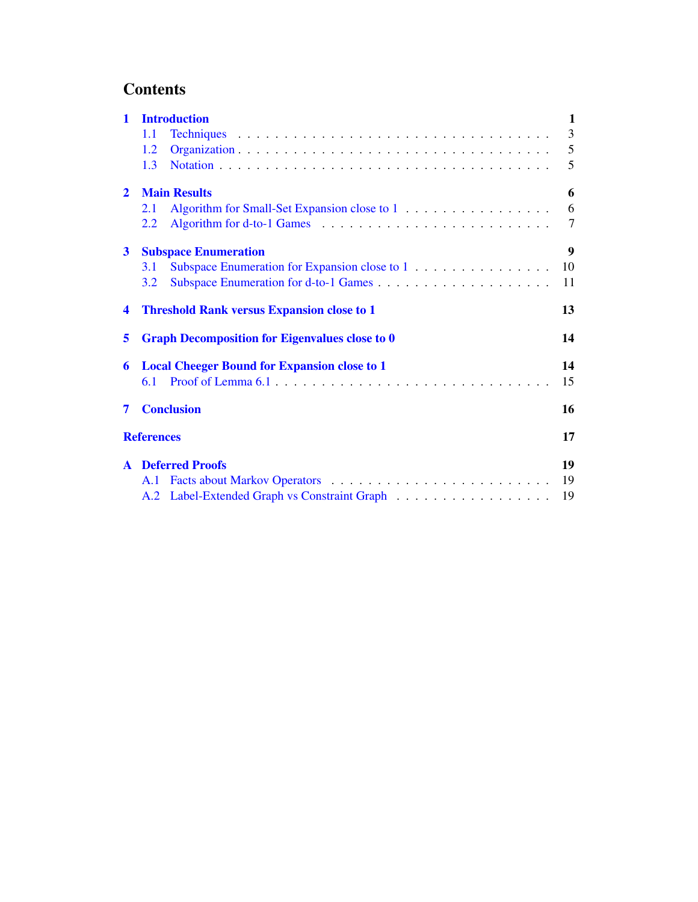# <span id="page-1-0"></span>**Contents**

| $\mathbf{1}$   | <b>Introduction</b>                                   |                                                     |    |
|----------------|-------------------------------------------------------|-----------------------------------------------------|----|
|                | 1.1                                                   |                                                     | 3  |
|                | 1.2                                                   |                                                     | 5  |
|                | 1.3                                                   |                                                     | 5  |
| $\overline{2}$ | <b>Main Results</b>                                   |                                                     |    |
|                | 2.1                                                   | Algorithm for Small-Set Expansion close to 1        | 6  |
|                | 2.2                                                   |                                                     | 7  |
| $\mathbf{3}$   | <b>Subspace Enumeration</b>                           |                                                     |    |
|                | <b>3.1</b>                                            | Subspace Enumeration for Expansion close to 1       | 10 |
|                | 3.2                                                   |                                                     | 11 |
| 4              | <b>Threshold Rank versus Expansion close to 1</b>     |                                                     | 13 |
| 5              | <b>Graph Decomposition for Eigenvalues close to 0</b> |                                                     | 14 |
| 6              |                                                       | <b>Local Cheeger Bound for Expansion close to 1</b> | 14 |
|                | 6.1                                                   |                                                     | 15 |
| 7              |                                                       | <b>Conclusion</b>                                   | 16 |
|                | <b>References</b>                                     |                                                     |    |
|                |                                                       | <b>A</b> Deferred Proofs                            | 19 |
|                | A.1                                                   |                                                     | 19 |
|                |                                                       |                                                     | 19 |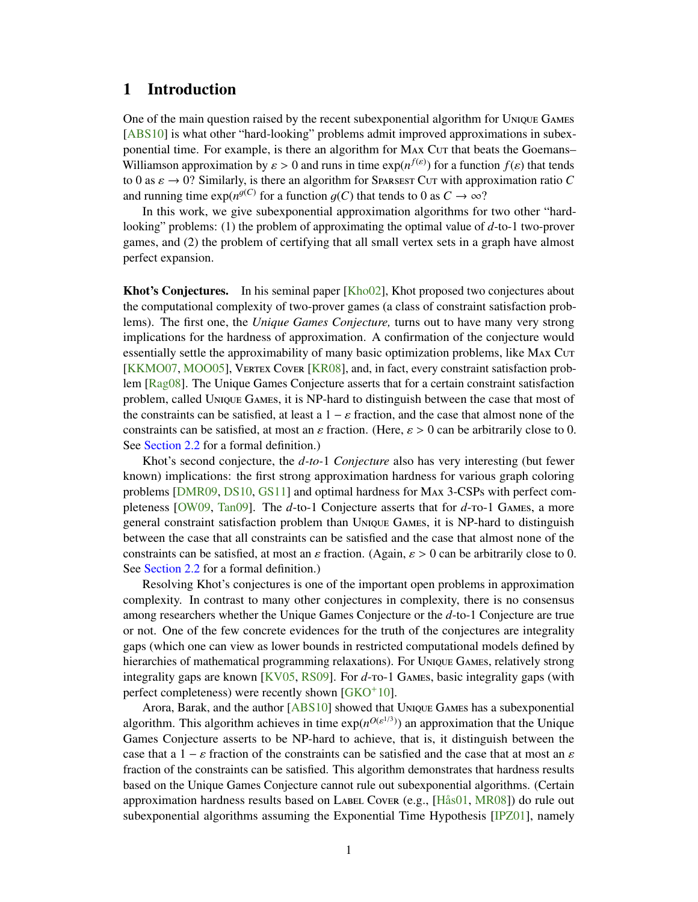## <span id="page-2-0"></span>1 Introduction

One of the main question raised by the recent subexponential algorithm for Unique Games [\[ABS10\]](#page-18-1) is what other "hard-looking" problems admit improved approximations in subexponential time. For example, is there an algorithm for MAx Cur that beats the Goemans– Williamson approximation by  $\varepsilon > 0$  and runs in time  $\exp(n^{f(\varepsilon)})$  for a function  $f(\varepsilon)$  that tends to 0 as  $\varepsilon \to 0$ ? Similarly is there an algorithm for Spansser Cur with approximation ratio G to 0 as  $\varepsilon \to 0$ ? Similarly, is there an algorithm for Sparsest Cut with approximation ratio C and running time  $\exp(n^{g(C)})$  for a function  $g(C)$  that tends to 0 as  $C \to \infty$ ?<br>In this work, we give subexponential approximation algorithms for

In this work, we give subexponential approximation algorithms for two other "hardlooking" problems: (1) the problem of approximating the optimal value of *d*-to-1 two-prover games, and (2) the problem of certifying that all small vertex sets in a graph have almost perfect expansion.

Khot's Conjectures. In his seminal paper [\[Kho02\]](#page-19-0), Khot proposed two conjectures about the computational complexity of two-prover games (a class of constraint satisfaction problems). The first one, the *Unique Games Conjecture,* turns out to have many very strong implications for the hardness of approximation. A confirmation of the conjecture would essentially settle the approximability of many basic optimization problems, like MAX Cut [\[KKMO07,](#page-19-1) [MOO05\]](#page-19-2), Vertex Cover [\[KR08\]](#page-19-3), and, in fact, every constraint satisfaction problem [\[Rag08\]](#page-19-4). The Unique Games Conjecture asserts that for a certain constraint satisfaction problem, called Unique Games, it is NP-hard to distinguish between the case that most of the constraints can be satisfied, at least a  $1 - \varepsilon$  fraction, and the case that almost none of the constraints can be satisfied, at most an  $\varepsilon$  fraction. (Here,  $\varepsilon > 0$  can be arbitrarily close to 0. See [Section 2.2](#page-8-0) for a formal definition.)

Khot's second conjecture, the *d-to-*1 *Conjecture* also has very interesting (but fewer known) implications: the first strong approximation hardness for various graph coloring problems [\[DMR09,](#page-18-2) [DS10,](#page-18-3) [GS11\]](#page-18-4) and optimal hardness for Max 3-CSPs with perfect completeness [\[OW09,](#page-19-5) [Tan09\]](#page-19-6). The *d*-to-1 Conjecture asserts that for *d*-to-1 Games, a more general constraint satisfaction problem than Unique Games, it is NP-hard to distinguish between the case that all constraints can be satisfied and the case that almost none of the constraints can be satisfied, at most an  $\varepsilon$  fraction. (Again,  $\varepsilon > 0$  can be arbitrarily close to 0. See [Section 2.2](#page-8-0) for a formal definition.)

Resolving Khot's conjectures is one of the important open problems in approximation complexity. In contrast to many other conjectures in complexity, there is no consensus among researchers whether the Unique Games Conjecture or the *d*-to-1 Conjecture are true or not. One of the few concrete evidences for the truth of the conjectures are integrality gaps (which one can view as lower bounds in restricted computational models defined by hierarchies of mathematical programming relaxations). For Unique Games, relatively strong integrality gaps are known [\[KV05,](#page-19-7) [RS09\]](#page-19-8). For *d*-to-1 Games, basic integrality gaps (with perfect completeness) were recently shown  $[GKO<sup>+</sup>10]$  $[GKO<sup>+</sup>10]$ .

Arora, Barak, and the author [\[ABS10\]](#page-18-1) showed that Unique Games has a subexponential algorithm. This algorithm achieves in time  $exp(n^{O(\varepsilon^{1/3})})$  an approximation that the Unique Games Conjecture asserts to be NP-hard to achieve, that is, it distinguish between the case that a  $1 - \varepsilon$  fraction of the constraints can be satisfied and the case that at most an  $\varepsilon$ fraction of the constraints can be satisfied. This algorithm demonstrates that hardness results based on the Unique Games Conjecture cannot rule out subexponential algorithms. (Certain approximation hardness results based on LABEL Cover (e.g., [\[Hås01,](#page-18-6) [MR08\]](#page-19-9)) do rule out subexponential algorithms assuming the Exponential Time Hypothesis [\[IPZ01\]](#page-18-7), namely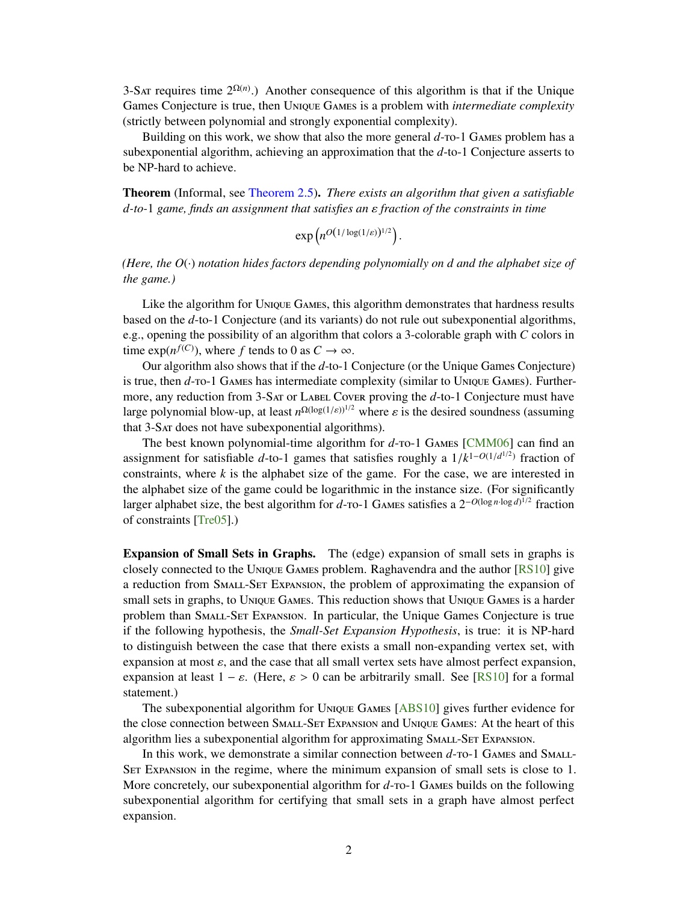3-SAT requires time  $2^{\Omega(n)}$ .) Another consequence of this algorithm is that if the Unique Games Conjecture is true, then Unique Games is a problem with *intermediate complexity* (strictly between polynomial and strongly exponential complexity).

Building on this work, we show that also the more general  $d$ -ro-1 GAMES problem has a subexponential algorithm, achieving an approximation that the *d*-to-1 Conjecture asserts to be NP-hard to achieve.

Theorem (Informal, see [Theorem 2.5\)](#page-8-1). *There exists an algorithm that given a satisfiable d-to-*<sup>1</sup> *game, finds an assignment that satisfies an* ε *fraction of the constraints in time*

 $\exp\left(n^{O(1/\log(1/\varepsilon))^{1/2}}\right)$ 

*(Here, the O*(·) *notation hides factors depending polynomially on d and the alphabet size of the game.)*

Like the algorithm for Unique Games, this algorithm demonstrates that hardness results based on the *d*-to-1 Conjecture (and its variants) do not rule out subexponential algorithms, e.g., opening the possibility of an algorithm that colors a 3-colorable graph with *C* colors in time  $\exp(n^{f(C)})$ , where *f* tends to 0 as  $C \to \infty$ .

Our algorithm also shows that if the *d*-to-1 Conjecture (or the Unique Games Conjecture) is true, then *d*-to-1 Games has intermediate complexity (similar to Unique Games). Furthermore, any reduction from 3-SAT or LABEL Cover proving the d-to-1 Conjecture must have large polynomial blow-up, at least  $n^{\Omega(\log(1/\varepsilon))^{1/2}}$  where  $\varepsilon$  is the desired soundness (assuming that  $3-\text{S}$  at does not have subexponential algorithms) that 3-Sat does not have subexponential algorithms).

The best known polynomial-time algorithm for *d*-ro-1 GAMES [\[CMM06\]](#page-18-8) can find an assignment for satisfiable *d*-to-1 games that satisfies roughly a  $1/k^{1-O(1/d^{1/2})}$  fraction of constraints, where *k* is the alphabet size of the game. For the case, we are interested in constraints, where  $k$  is the alphabet size of the game. For the case, we are interested in the alphabet size of the game could be logarithmic in the instance size. (For significantly larger alphabet size, the best algorithm for *d*-то-1 GAMES satisfies a 2<sup>−*O*(log *n*·log *d*)<sup>1/2</sup> fraction</sup> of constraints [\[Tre05\]](#page-19-10).)

Expansion of Small Sets in Graphs. The (edge) expansion of small sets in graphs is closely connected to the Unique Games problem. Raghavendra and the author [\[RS10\]](#page-19-11) give a reduction from Small-Set Expansion, the problem of approximating the expansion of small sets in graphs, to Unique Games. This reduction shows that Unique Games is a harder problem than Small-Set Expansion. In particular, the Unique Games Conjecture is true if the following hypothesis, the *Small-Set Expansion Hypothesis*, is true: it is NP-hard to distinguish between the case that there exists a small non-expanding vertex set, with expansion at most  $\varepsilon$ , and the case that all small vertex sets have almost perfect expansion, expansion at least  $1 - \varepsilon$ . (Here,  $\varepsilon > 0$  can be arbitrarily small. See [\[RS10\]](#page-19-11) for a formal statement.)

The subexponential algorithm for Unique Games [\[ABS10\]](#page-18-1) gives further evidence for the close connection between Small-Set Expansion and Unique Games: At the heart of this algorithm lies a subexponential algorithm for approximating SMALL-SET Expansion.

In this work, we demonstrate a similar connection between  $d$ -ro-1 GAMES and SMALL-Set Expansion in the regime, where the minimum expansion of small sets is close to 1. More concretely, our subexponential algorithm for  $d$ -ro-1 GAMES builds on the following subexponential algorithm for certifying that small sets in a graph have almost perfect expansion.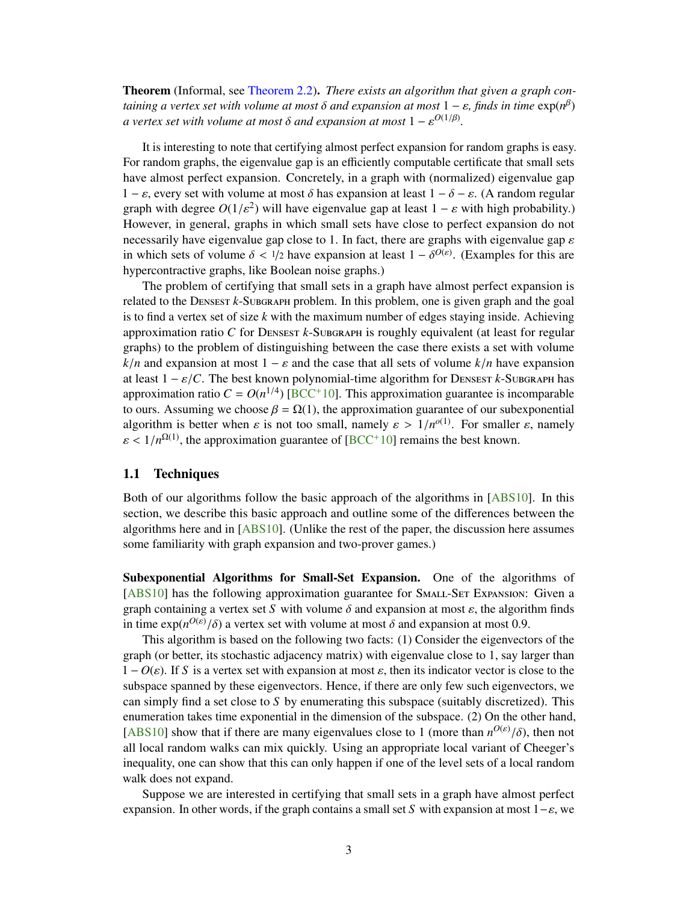<span id="page-4-1"></span>Theorem (Informal, see [Theorem 2.2\)](#page-7-2). *There exists an algorithm that given a graph containing a vertex set with volume at most*  $\delta$  *and expansion at most*  $1 - \varepsilon$ , finds in time  $\exp(n^{\beta})$ <br>a vertex set with volume at most  $\delta$  and expansion at most  $1 - \varepsilon^{O(1/\beta)}$ *a* vertex set with volume at most  $\delta$  and expansion at most  $1 - \varepsilon^{O(1/\beta)}$ .

It is interesting to note that certifying almost perfect expansion for random graphs is easy. For random graphs, the eigenvalue gap is an efficiently computable certificate that small sets have almost perfect expansion. Concretely, in a graph with (normalized) eigenvalue gap  $1 - \varepsilon$ , every set with volume at most  $\delta$  has expansion at least  $1 - \delta - \varepsilon$ . (A random regular graph with degree  $O(1/\varepsilon^2)$  will have eigenvalue gap at least  $1 - \varepsilon$  with high probability.)<br>However in general, graphs in which small sets have close to perfect expansion do not However, in general, graphs in which small sets have close to perfect expansion do not necessarily have eigenvalue gap close to 1. In fact, there are graphs with eigenvalue gap  $\varepsilon$ in which sets of volume  $\delta < 1/2$  have expansion at least  $1 - \delta^{O(\varepsilon)}$ . (Examples for this are hypercontractive graphs like Boolean poise graphs) hypercontractive graphs, like Boolean noise graphs.)

The problem of certifying that small sets in a graph have almost perfect expansion is related to the DENSEST *k*-SUBGRAPH problem. In this problem, one is given graph and the goal is to find a vertex set of size *k* with the maximum number of edges staying inside. Achieving approximation ratio *C* for DENSEST *k*-SUBGRAPH is roughly equivalent (at least for regular graphs) to the problem of distinguishing between the case there exists a set with volume  $k/n$  and expansion at most  $1 - \varepsilon$  and the case that all sets of volume  $k/n$  have expansion at least  $1 - \varepsilon / C$ . The best known polynomial-time algorithm for Densest *k*-Subgraph has approximation ratio  $C = O(n^{1/4})$  [\[BCC](#page-18-9)<sup>+</sup>10]. This approximation guarantee is incomparable to ours. Assuming we choose  $\beta = \Omega(1)$ , the approximation guarantee of our subexponential algorithm is better when  $\varepsilon$  is not too small, namely  $\varepsilon > 1/n^{o(1)}$ . For smaller  $\varepsilon$ , namely  $\varepsilon < 1/n^{\Omega(1)}$ , the approximation guarantee of [\[BCC](#page-18-9)<sup>+</sup>10] remains the best known.

#### <span id="page-4-0"></span>1.1 Techniques

Both of our algorithms follow the basic approach of the algorithms in [\[ABS10\]](#page-18-1). In this section, we describe this basic approach and outline some of the differences between the algorithms here and in [\[ABS10\]](#page-18-1). (Unlike the rest of the paper, the discussion here assumes some familiarity with graph expansion and two-prover games.)

Subexponential Algorithms for Small-Set Expansion. One of the algorithms of [\[ABS10\]](#page-18-1) has the following approximation guarantee for SMALL-SET Expansion: Given a graph containing a vertex set *S* with volume  $\delta$  and expansion at most  $\varepsilon$ , the algorithm finds in time  $\exp(n^{O(\varepsilon)}/\delta)$  a vertex set with volume at most  $\delta$  and expansion at most 0.9.<br>This algorithm is based on the following two facts: (1) Consider the eigenvector

This algorithm is based on the following two facts: (1) Consider the eigenvectors of the graph (or better, its stochastic adjacency matrix) with eigenvalue close to 1, say larger than  $1 - O(\varepsilon)$ . If *S* is a vertex set with expansion at most  $\varepsilon$ , then its indicator vector is close to the subspace spanned by these eigenvectors. Hence, if there are only few such eigenvectors, we can simply find a set close to *S* by enumerating this subspace (suitably discretized). This enumeration takes time exponential in the dimension of the subspace. (2) On the other hand, [\[ABS10\]](#page-18-1) show that if there are many eigenvalues close to 1 (more than  $n^{O(\varepsilon)}/\delta$ ), then not all local random walks can mix quickly. Heing an appropriate local variant of Cheeger's all local random walks can mix quickly. Using an appropriate local variant of Cheeger's inequality, one can show that this can only happen if one of the level sets of a local random walk does not expand.

Suppose we are interested in certifying that small sets in a graph have almost perfect expansion. In other words, if the graph contains a small set *S* with expansion at most  $1-\varepsilon$ , we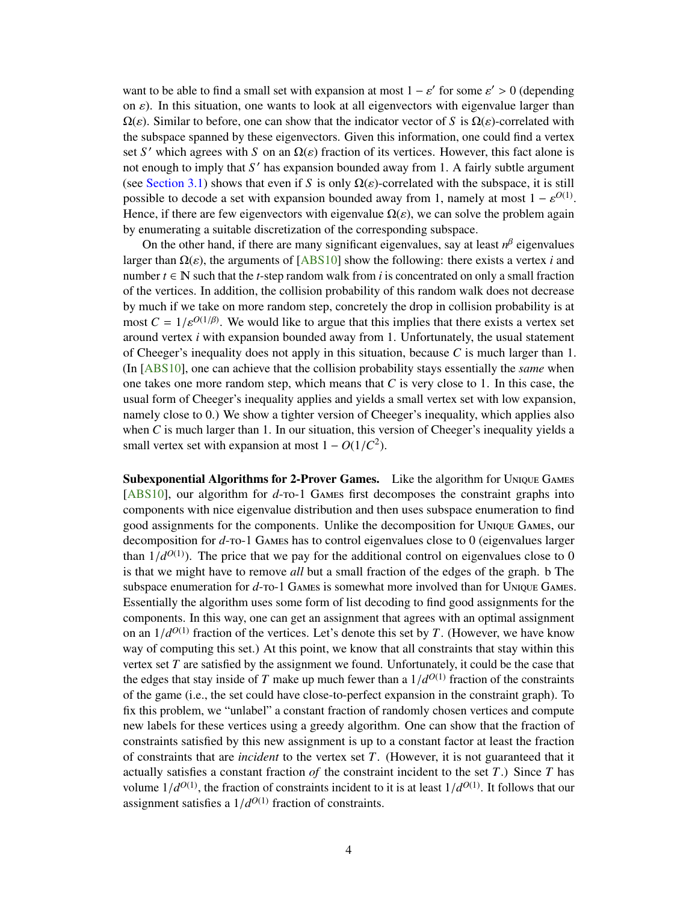<span id="page-5-0"></span>want to be able to find a small set with expansion at most  $1 - \varepsilon'$  for some  $\varepsilon' > 0$  (depending<br>on s). In this situation, one wants to look at all eigenvectors with eigenvalue larger than on  $\varepsilon$ ). In this situation, one wants to look at all eigenvectors with eigenvalue larger than  $\Omega(\varepsilon)$ . Similar to before, one can show that the indicator vector of *S* is  $\Omega(\varepsilon)$ -correlated with the subspace spanned by these eigenvectors. Given this information, one could find a vertex set *S'* which agrees with *S* on an  $\Omega(\varepsilon)$  fraction of its vertices. However, this fact alone is<br>not enough to imply that *S'* has expansion bounded away from 1. A fairly subtle argument not enough to imply that S' has expansion bounded away from 1. A fairly subtle argument (see [Section 3.1\)](#page-11-0) shows that even if *S* is only  $\Omega(\varepsilon)$ -correlated with the subspace, it is still possible to decode a set with expansion bounded away from 1, namely at most  $1 - \varepsilon^{O(1)}$ .<br>Hence if there are few eigenvectors with eigenvalue  $O(\varepsilon)$ , we can solve the problem again. Hence, if there are few eigenvectors with eigenvalue  $\Omega(\varepsilon)$ , we can solve the problem again by enumerating a suitable discretization of the corresponding subspace.

On the other hand, if there are many significant eigenvalues, say at least  $n^{\beta}$  eigenvalues larger than  $\Omega(\varepsilon)$ , the arguments of [\[ABS10\]](#page-18-1) show the following: there exists a vertex *i* and number  $t \in \mathbb{N}$  such that the *t*-step random walk from *i* is concentrated on only a small fraction of the vertices. In addition, the collision probability of this random walk does not decrease by much if we take on more random step, concretely the drop in collision probability is at most  $C = 1/\varepsilon^{O(1/\beta)}$ . We would like to argue that this implies that there exists a vertex set around vertex *i* with expansion bounded away from 1. Unfortunately, the usual statement around vertex *i* with expansion bounded away from 1. Unfortunately, the usual statement of Cheeger's inequality does not apply in this situation, because *C* is much larger than 1. (In [\[ABS10\]](#page-18-1), one can achieve that the collision probability stays essentially the *same* when one takes one more random step, which means that  $C$  is very close to 1. In this case, the usual form of Cheeger's inequality applies and yields a small vertex set with low expansion, namely close to 0.) We show a tighter version of Cheeger's inequality, which applies also when  $C$  is much larger than 1. In our situation, this version of Cheeger's inequality yields a small vertex set with expansion at most  $1 - O(1/C^2)$ .

Subexponential Algorithms for 2-Prover Games. Like the algorithm for Unique Games [\[ABS10\]](#page-18-1), our algorithm for *d*-ro-1 GAMES first decomposes the constraint graphs into components with nice eigenvalue distribution and then uses subspace enumeration to find good assignments for the components. Unlike the decomposition for Unique Games, our decomposition for *d*-to-1 Games has to control eigenvalues close to 0 (eigenvalues larger than  $1/d^{O(1)}$ ). The price that we pay for the additional control on eigenvalues close to 0<br>is that we might have to remove *all* but a small fraction of the edges of the graph. b The is that we might have to remove *all* but a small fraction of the edges of the graph. b The subspace enumeration for *d*-to-1 Games is somewhat more involved than for Unique Games. Essentially the algorithm uses some form of list decoding to find good assignments for the components. In this way, one can get an assignment that agrees with an optimal assignment on an  $1/d^{O(1)}$  fraction of the vertices. Let's denote this set by *T*. (However, we have know<br>way of computing this set ). At this point, we know that all constraints that stay within this way of computing this set.) At this point, we know that all constraints that stay within this vertex set *T* are satisfied by the assignment we found. Unfortunately, it could be the case that the edges that stay inside of *T* make up much fewer than a  $1/d^{O(1)}$  fraction of the constraints of the game (i.e., the set could have close to perfect expansion in the constraint graph). To of the game (i.e., the set could have close-to-perfect expansion in the constraint graph). To fix this problem, we "unlabel" a constant fraction of randomly chosen vertices and compute new labels for these vertices using a greedy algorithm. One can show that the fraction of constraints satisfied by this new assignment is up to a constant factor at least the fraction of constraints that are *incident* to the vertex set *T*. (However, it is not guaranteed that it actually satisfies a constant fraction of the constraint incident to the set  $T$ .) Since  $T$  has volume  $1/d^{O(1)}$ , the fraction of constraints incident to it is at least  $1/d^{O(1)}$ . It follows that our assignment satisfies a  $1/d^{O(1)}$  fraction of constraints assignment satisfies a  $1/d^{O(1)}$  fraction of constraints.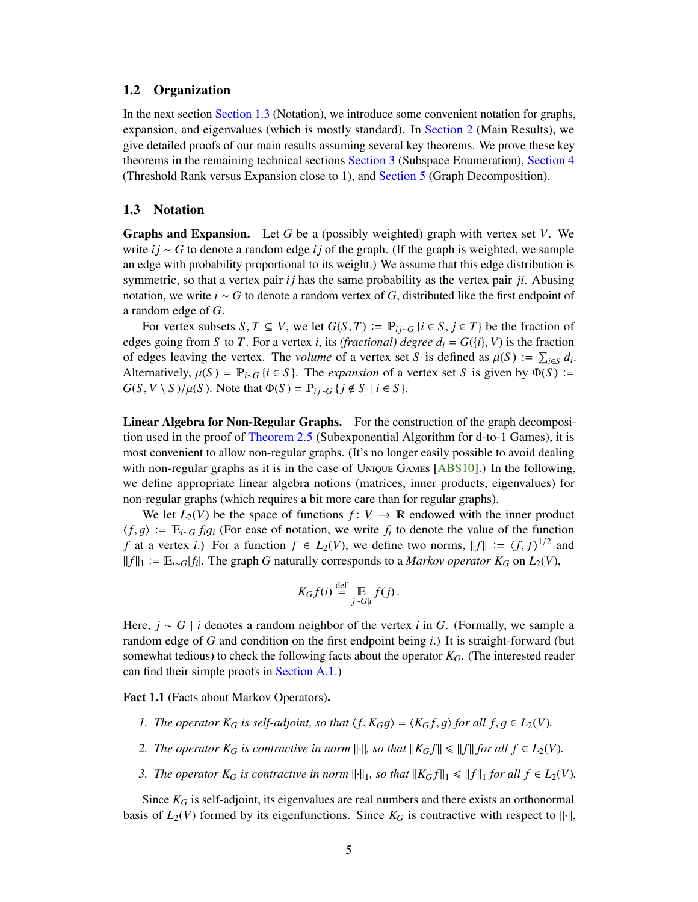#### <span id="page-6-2"></span><span id="page-6-0"></span>1.2 Organization

In the next section [Section 1.3](#page-6-1) (Notation), we introduce some convenient notation for graphs, expansion, and eigenvalues (which is mostly standard). In [Section 2](#page-7-0) (Main Results), we give detailed proofs of our main results assuming several key theorems. We prove these key theorems in the remaining technical sections [Section 3](#page-10-0) (Subspace Enumeration), [Section 4](#page-14-0) (Threshold Rank versus Expansion close to 1), and [Section 5](#page-15-0) (Graph Decomposition).

#### <span id="page-6-1"></span>1.3 Notation

Graphs and Expansion. Let *G* be a (possibly weighted) graph with vertex set *V*. We write *i j* ∼ *G* to denote a random edge *i j* of the graph. (If the graph is weighted, we sample an edge with probability proportional to its weight.) We assume that this edge distribution is symmetric, so that a vertex pair  $ij$  has the same probability as the vertex pair  $ji$ . Abusing notation, we write *i* ∼ *G* to denote a random vertex of *G*, distributed like the first endpoint of a random edge of *G*.

For vertex subsets *S*, *T* ⊆ *V*, we let  $G(S, T) := \mathbb{P}_{i \sim G} \{i \in S, j \in T\}$  be the fraction of edges going from *S* to *T*. For a vertex *i*, its *(fractional) degree*  $d_i = G({i}$ , *V*) is the fraction of edges leaving the vertex. The *volume* of a vertex set *S* is defined as  $\mu(S) := \sum_{i \in S} d_i$ .<br>Alternatively  $\mu(S) = \mathbb{P}_{i \in S} d_i \in S$  I The *expansion* of a vertex set *S* is given by  $\Phi(S) :=$ Alternatively,  $\mu(S) = \mathbb{P}_{i \sim G} \{i \in S\}$ . The *expansion* of a vertex set *S* is given by  $\Phi(S)$  :=  $G(S, V \setminus S)/\mu(S)$ . Note that  $\Phi(S) = \mathbb{P}_{ij \sim G} \{ j \notin S \mid i \in S \}.$ 

Linear Algebra for Non-Regular Graphs. For the construction of the graph decomposition used in the proof of [Theorem 2.5](#page-8-1) (Subexponential Algorithm for d-to-1 Games), it is most convenient to allow non-regular graphs. (It's no longer easily possible to avoid dealing with non-regular graphs as it is in the case of Unique Games [\[ABS10\]](#page-18-1).) In the following, we define appropriate linear algebra notions (matrices, inner products, eigenvalues) for non-regular graphs (which requires a bit more care than for regular graphs).

We let  $L_2(V)$  be the space of functions  $f: V \to \mathbb{R}$  endowed with the inner product  $\langle f, g \rangle$  :=  $\mathbb{E}_{i \sim G} f_i g_i$  (For ease of notation, we write  $f_i$  to denote the value of the function  $f$  at a vertex *i*) For a function  $f \in L_2(V)$  we define two norms  $||f|| := |f| f_1|^{1/2}$  and *f* at a vertex *i*.) For a function  $f \in L_2(V)$ , we define two norms,  $||f|| := \langle f, f \rangle^{1/2}$  and  $||f||_V := \mathbb{E}_{L_1}||f||$ . The graph G paturally corresponds to a *Markov operator*  $K_2$  on  $L_2(V)$ *f*  $||f||_1 := \mathbb{E}_{i \sim G} |f_i|$ . The graph *G* naturally corresponds to a *Markov operator*  $K_G$  on  $L_2(V)$ ,

$$
K_G f(i) \stackrel{\text{def}}{=} \mathop{\mathbb{E}}_{j \sim G|i} f(j).
$$

Here, *j* ∼ *G* | *i* denotes a random neighbor of the vertex *i* in *G*. (Formally, we sample a random edge of *G* and condition on the first endpoint being *i*.) It is straight-forward (but somewhat tedious) to check the following facts about the operator *KG*. (The interested reader can find their simple proofs in [Section A.1.](#page-20-1))

<span id="page-6-3"></span>Fact 1.1 (Facts about Markov Operators).

- *1. The operator*  $K_G$  *is self-adjoint, so that*  $\langle f, K_G g \rangle = \langle K_G f, g \rangle$  *for all*  $f, g \in L_2(V)$ *.*
- *2. The operator*  $K_G$  *is contractive in norm*  $\|\cdot\|$ *, so that*  $\|K_Gf\| \le \|f\|$  *for all*  $f \in L_2(V)$ *.*
- *3. The operator*  $K_G$  *is contractive in norm*  $\|\cdot\|_1$ *, so that*  $\|K_Gf\|_1 \le \|f\|_1$  *for all*  $f \in L_2(V)$ *.*

Since *K<sup>G</sup>* is self-adjoint, its eigenvalues are real numbers and there exists an orthonormal basis of  $L_2(V)$  formed by its eigenfunctions. Since  $K_G$  is contractive with respect to  $\|\cdot\|$ ,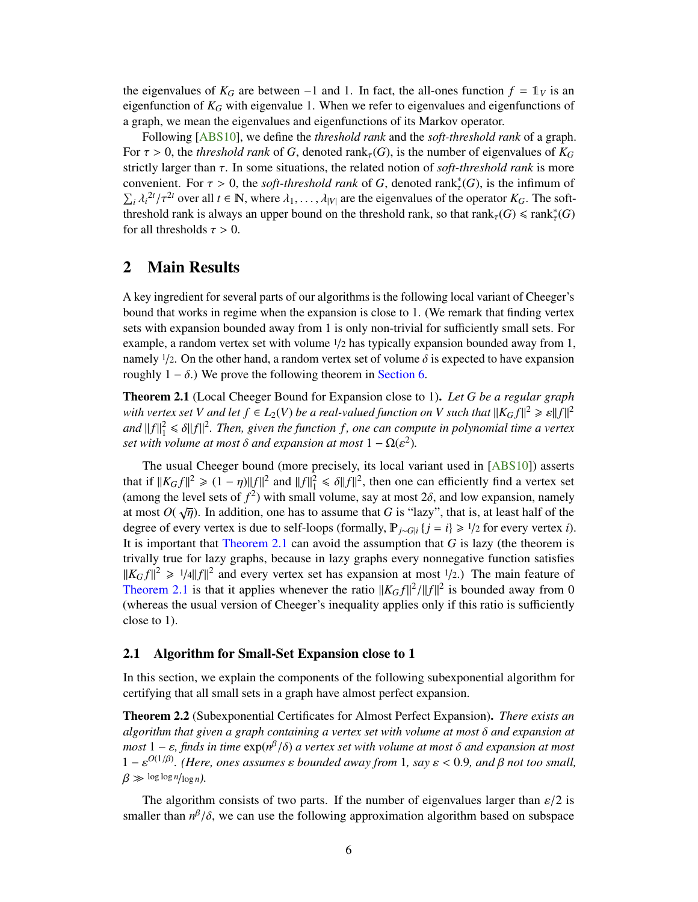<span id="page-7-4"></span>the eigenvalues of  $K_G$  are between -1 and 1. In fact, the all-ones function  $f = 1_V$  is an eigenfunction of *K<sup>G</sup>* with eigenvalue 1. When we refer to eigenvalues and eigenfunctions of a graph, we mean the eigenvalues and eigenfunctions of its Markov operator.

Following [\[ABS10\]](#page-18-1), we define the *threshold rank* and the *soft-threshold rank* of a graph. For  $\tau > 0$ , the *threshold rank* of *G*, denoted rank<sub> $\tau$ </sub>(*G*), is the number of eigenvalues of  $K_G$ strictly larger than τ. In some situations, the related notion of *soft-threshold rank* is more convenient. For  $\tau > 0$ , the *soft-threshold rank* of *G*, denoted rank<sup>\*</sup><sub>*τ*</sub>(*G*), is the infimum of  $\sum A_i^{2t}/\tau_i^{2t}$  over all  $t \in \mathbb{N}$ , where  $\lambda$ ,  $\lambda$  are the eigenvalues of the operator  $K_{\alpha}$ . The soft  $\sum_i \lambda_i^{2t} / \tau^{2t}$  over all  $t \in \mathbb{N}$ , where  $\lambda_1, \ldots, \lambda_{|V|}$  are the eigenvalues of the operator  $K_G$ . The soft-<br>threshold rank is always an unper bound on the threshold rank, so that rank  $(G) \le \text{rank}^*(G)$  $\sum_i \lambda_i^{-1}/\tau^{-1}$  over all  $t \in \mathbb{N}$ , where  $\lambda_1, \ldots, \lambda_{|V|}$  are the eigenvalues of the operator  $K_G$ . The soft-<br>threshold rank is always an upper bound on the threshold rank, so that  $rank_\tau(G) \leq rank_\tau^*(G)$ <br>for all threshol for all thresholds  $\tau > 0$ .

## <span id="page-7-0"></span>2 Main Results

A key ingredient for several parts of our algorithms is the following local variant of Cheeger's bound that works in regime when the expansion is close to 1. (We remark that finding vertex sets with expansion bounded away from 1 is only non-trivial for sufficiently small sets. For example, a random vertex set with volume  $1/2$  has typically expansion bounded away from 1, namely  $1/2$ . On the other hand, a random vertex set of volume  $\delta$  is expected to have expansion roughly  $1 - \delta$ .) We prove the following theorem in [Section 6.](#page-15-1)

<span id="page-7-3"></span>Theorem 2.1 (Local Cheeger Bound for Expansion close to 1). *Let G be a regular graph with vertex set V* and let  $f \in L_2(V)$  *be a real-valued function on V such that*  $||K_Gf||^2 \ge \varepsilon ||f||^2$ <br>and  $||f||^2 \le \varepsilon ||f||^2$ . Then, given the function *f*, one can compute in polynomial time a vertex *and*  $||f||_1^2 \le \delta ||f||^2$ . Then, given the function *f*, one can compute in polynomial time a vertex set with volume at most  $\delta$  and expansion at most  $1 - O(\epsilon^2)$ *set with volume at most*  $\delta$  *and expansion at most*  $1 - \Omega(\varepsilon^2)$ *.* 

The usual Cheeger bound (more precisely, its local variant used in [\[ABS10\]](#page-18-1)) asserts that if  $||K_G f||^2 \ge (1 - \eta) ||f||^2$  and  $||f||_1^2 \le \delta ||f||^2$ , then one can efficiently find a vertex set<br>(among the level sets of  $f^2$ ) with small volume, say at most 2.6, and low expansion, namely (among the level sets of  $f^2$ ) with small volume, say at most  $2\delta$ , and low expansion, namely at most  $O(\sqrt{n})$ . In addition, one has to assume that G is "lazy", that is, at least half of the at most  $O(\sqrt{\eta})$ . In addition, one has to assume that *G* is "lazy", that is, at least half of the degree of every vertex is due to self-loops (formally  $\mathbb{P}_{\xi}$ ,  $\omega$ ,  $i = i$ ) > 1/2 for every vertex i) degree of every vertex is due to self-loops (formally,  $P_{i\sim G|i}$  {*j* = *i*}  $\ge$  1/2 for every vertex *i*). It is important that [Theorem 2.1](#page-7-3) can avoid the assumption that *G* is lazy (the theorem is trivally true for lazy graphs, because in lazy graphs every nonnegative function satisfies  $||K_Gf||^2 \ge 1/4||f||^2$  and every vertex set has expansion at most 1/2.) The main feature of <br>Theorem 2.1 is that it applies whenever the ratio  $||K_Gf||^2/||f||^2$  is bounded away from 0. [Theorem 2.1](#page-7-3) is that it applies whenever the ratio  $||K_Gf||^2/||f||^2$  is bounded away from 0<br>(whereas the usual version of Cheeger's inequality applies only if this ratio is sufficiently (whereas the usual version of Cheeger's inequality applies only if this ratio is sufficiently close to 1).

#### <span id="page-7-1"></span>2.1 Algorithm for Small-Set Expansion close to 1

In this section, we explain the components of the following subexponential algorithm for certifying that all small sets in a graph have almost perfect expansion.

<span id="page-7-2"></span>Theorem 2.2 (Subexponential Certificates for Almost Perfect Expansion). *There exists an algorithm that given a graph containing a vertex set with volume at most* δ *and expansion at most* 1 − ε, finds in time exp( $n^{\beta}/\delta$ ) *a vertex set with volume at most* δ *and expansion at most*<br>1 – ε<sup>*O*(1/β) (Here ones assumes ε bounded away from 1 say ε < 0.9 and β not too small</sup>  $1 - ε^{O(1/β)}$ . (Here, ones assumes ε bounded away from 1, say  $ε < 0.9$ , and β not too small,<br> $β \le log log n / log n$  $\beta \gg \log \log n / \log n$ .

The algorithm consists of two parts. If the number of eigenvalues larger than  $\varepsilon/2$  is smaller than  $n^{\beta}/\delta$ , we can use the following approximation algorithm based on subspace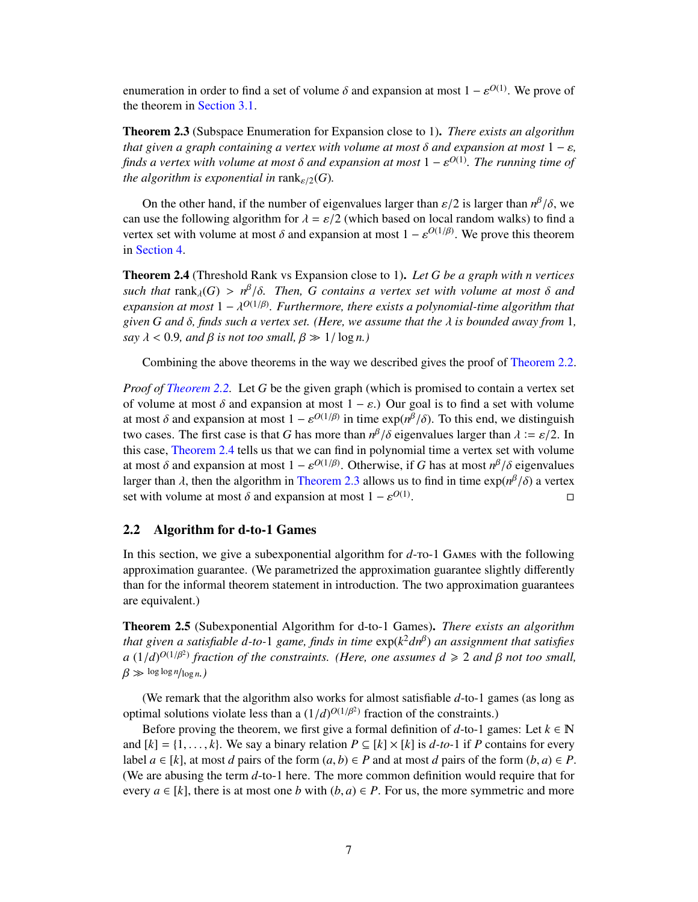enumeration in order to find a set of volume δ and expansion at most  $1 - ε^{O(1)}$ . We prove of the theorem in Section 3.1 the theorem in [Section 3.1.](#page-11-0)

<span id="page-8-3"></span>Theorem 2.3 (Subspace Enumeration for Expansion close to 1). *There exists an algorithm that given a graph containing a vertex with volume at most*  $\delta$  *and expansion at most*  $1 - \varepsilon$ *, finds a vertex with volume at most*  $\delta$  *and expansion at most*  $1 - \varepsilon^{O(1)}$ *. The running time of* the algorithm is expansively in rank  $\mu(G)$ *the algorithm is exponential in* rank $_{\varepsilon/2}(G)$ *.* 

On the other hand, if the number of eigenvalues larger than  $\varepsilon/2$  is larger than  $n^{\beta}/\delta$ , we use the following algorithm for  $\lambda = \varepsilon/2$  (which has algorithm space) to find a can use the following algorithm for  $\lambda = \varepsilon/2$  (which based on local random walks) to find a vertex set with volume at most  $\delta$  and expansion at most  $1 - \varepsilon^{O(1/\beta)}$ . We prove this theorem in Section  $\Lambda$ in [Section 4.](#page-14-0)

<span id="page-8-2"></span>Theorem 2.4 (Threshold Rank vs Expansion close to 1). *Let G be a graph with n vertices such that*  $rank_{\lambda}(G) > n^{\beta}/\delta$ . Then, *G contains a vertex set with volume at most*  $\delta$  *and expansion at most*  $1 - \frac{2O(1/\beta)}{n}$  *Eurthermore, there exists a polynomial time algorithm that expansion at most*  $1 - \lambda^{O(1/\beta)}$ . Furthermore, there exists a polynomial-time algorithm that<br>given G and  $\delta$  finds such a vertex set (Here, we assume that the *l* is bounded away from 1 *given <sup>G</sup> and* δ*, finds such a vertex set. (Here, we assume that the* λ *is bounded away from* <sup>1</sup>*, say*  $\lambda$  < 0.9*, and*  $\beta$  *is not too small,*  $\beta \gg 1/\log n$ *)* 

Combining the above theorems in the way we described gives the proof of [Theorem 2.2.](#page-7-2)

*Proof of [Theorem 2.2.](#page-7-2)* Let *G* be the given graph (which is promised to contain a vertex set of volume at most  $\delta$  and expansion at most  $1 - \varepsilon$ .) Our goal is to find a set with volume at most  $\delta$  and expansion at most  $1 - \varepsilon^{O(1/\beta)}$  in time  $\exp(n^{\beta}/\delta)$ . To this end, we distinguish<br>two cases. The first case is that G has more than  $n^{\beta}/\delta$  ejgenvalues larger than  $\lambda := \varepsilon/2$ . In two cases. The first case is that *G* has more than  $n^{\beta}/\delta$  eigenvalues larger than  $\lambda := \varepsilon/2$ . In this case. Theorem 2.4 tells us that we can find in polynomial time a vertex set with volume this case, [Theorem 2.4](#page-8-2) tells us that we can find in polynomial time a vertex set with volume at most  $\delta$  and expansion at most  $1 - \varepsilon^{O(1/\beta)}$ . Otherwise, if *G* has at most  $n^{\beta}/\delta$  eigenvalues<br>larger than *l*, then the algorithm in Theorem 2.3 allows us to find in time  $\exp(n^{\beta}/\delta)$  a vertex larger than  $\lambda$ , then the algorithm in [Theorem 2.3](#page-8-3) allows us to find in time  $\exp(n^{\beta}/\delta)$  a vertex set with volume at most  $\delta$  and expansion at most  $1 - \epsilon^{O(1)}$ set with volume at most  $\delta$  and expansion at most  $1 - \varepsilon^{O(1)}$ . Видео в село в село в село во село во село во село во село во село во село во село во село во село во село в<br>Село во село во село во село во село во село во село во село во село во село во село во село во село во село в

#### <span id="page-8-0"></span>2.2 Algorithm for d-to-1 Games

In this section, we give a subexponential algorithm for  $d$ -ro-1 GAMES with the following approximation guarantee. (We parametrized the approximation guarantee slightly differently than for the informal theorem statement in introduction. The two approximation guarantees are equivalent.)

<span id="page-8-1"></span>Theorem 2.5 (Subexponential Algorithm for d-to-1 Games). *There exists an algorithm that given a satisfiable d-to-*1 *game, finds in time* exp(*k* <sup>2</sup>*dn*β ) *an assignment that satisfies*  $a(1/d)^{O(1/\beta^2)}$  fraction of the constraints. (Here, one assumes  $d \ge 2$  and  $\beta$  not too small,<br> $\beta \gg \log \log n / \log n$ )  $β \gg log log n / log n$ *.*)

(We remark that the algorithm also works for almost satisfiable *d*-to-1 games (as long as optimal solutions violate less than a  $(1/d)^{O(1/\beta^2)}$  fraction of the constraints.)<br>Before proving the theorem we first give a formal definition of d-to-1 ga

Before proving the theorem, we first give a formal definition of  $d$ -to-1 games: Let  $k \in \mathbb{N}$ and  $[k] = \{1, \ldots, k\}$ . We say a binary relation  $P \subseteq [k] \times [k]$  is  $d$ -to-1 if P contains for every label  $a \in [k]$ , at most *d* pairs of the form  $(a, b) \in P$  and at most *d* pairs of the form  $(b, a) \in P$ . (We are abusing the term *d*-to-1 here. The more common definition would require that for every  $a \in [k]$ , there is at most one *b* with  $(b, a) \in P$ . For us, the more symmetric and more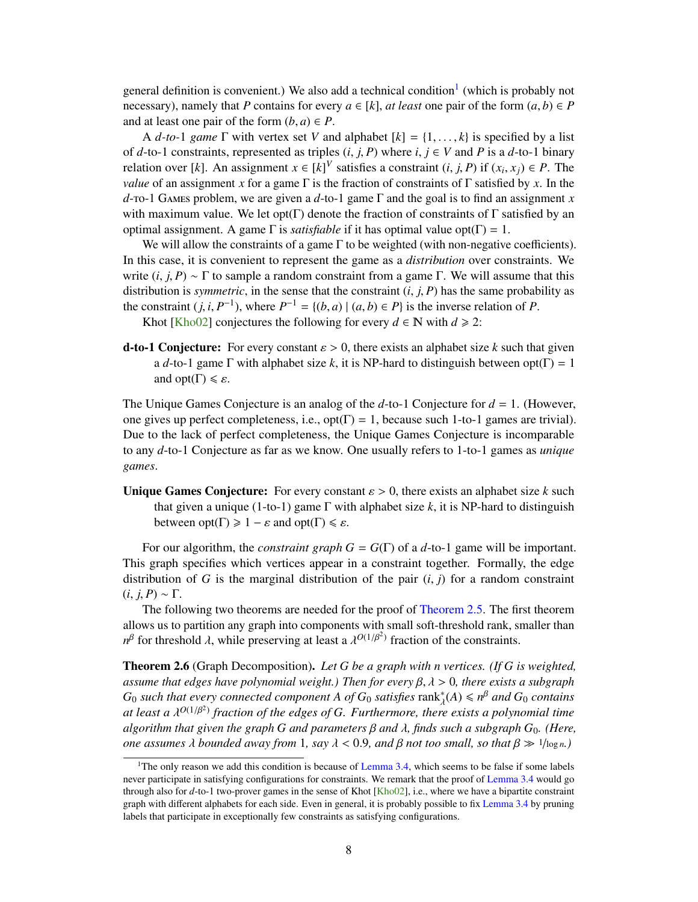<span id="page-9-2"></span>general definition is convenient.) We also add a technical condition<sup>[1](#page-9-0)</sup> (which is probably not necessary), namely that *P* contains for every  $a \in [k]$ , *at least* one pair of the form  $(a, b) \in P$ and at least one pair of the form  $(b, a) \in P$ .

A *d-to-*1 *game*  $\Gamma$  with vertex set *V* and alphabet  $[k] = \{1, \ldots, k\}$  is specified by a list of  $d$ -to-1 constraints, represented as triples  $(i, j, P)$  where  $i, j \in V$  and P is a  $d$ -to-1 binary relation over [*k*]. An assignment  $x \in [k]^V$  satisfies a constraint  $(i, j, P)$  if  $(x_i, x_j) \in P$ . The value of an assignment *x* for a game  $\Gamma$  is the fraction of constraints of  $\Gamma$  satisfied by *x*. In the *value* of an assignment *x* for a game  $\Gamma$  is the fraction of constraints of  $\Gamma$  satisfied by *x*. In the *d*-to-1 Games problem, we are given a *d*-to-1 game Γ and the goal is to find an assignment *x* with maximum value. We let opt(Γ) denote the fraction of constraints of Γ satisfied by an optimal assignment. A game  $Γ$  is *satisfiable* if it has optimal value opt( $Γ$ ) = 1.

We will allow the constraints of a game Γ to be weighted (with non-negative coefficients). In this case, it is convenient to represent the game as a *distribution* over constraints. We write  $(i, j, P) \sim \Gamma$  to sample a random constraint from a game  $\Gamma$ . We will assume that this distribution is *symmetric*, in the sense that the constraint  $(i, j, P)$  has the same probability as the constraint  $(j, i, P^{-1})$ , where  $P^{-1} = \{(b, a) | (a, b) \in P\}$  is the inverse relation of *P*.<br>
Khot [Kho()?] conjectures the following for every  $d \in \mathbb{N}$  with  $d > ?$ .

Khot [\[Kho02\]](#page-19-0) conjectures the following for every  $d \in \mathbb{N}$  with  $d \ge 2$ :

**d-to-1 Conjecture:** For every constant  $\varepsilon > 0$ , there exists an alphabet size k such that given a *d*-to-1 game  $\Gamma$  with alphabet size *k*, it is NP-hard to distinguish between opt( $\Gamma$ ) = 1 and  $opt(\Gamma) \leq \varepsilon$ .

The Unique Games Conjecture is an analog of the *d*-to-1 Conjecture for *d* = 1. (However, one gives up perfect completeness, i.e.,  $opt(\Gamma) = 1$ , because such 1-to-1 games are trivial). Due to the lack of perfect completeness, the Unique Games Conjecture is incomparable to any *d*-to-1 Conjecture as far as we know. One usually refers to 1-to-1 games as *unique games*.

Unique Games Conjecture: For every constant  $\varepsilon > 0$ , there exists an alphabet size k such that given a unique (1-to-1) game  $\Gamma$  with alphabet size  $k$ , it is NP-hard to distinguish between  $opt(\Gamma) \geq 1 - \varepsilon$  and  $opt(\Gamma) \leq \varepsilon$ .

For our algorithm, the *constraint graph*  $G = G(\Gamma)$  of a *d*-to-1 game will be important. This graph specifies which vertices appear in a constraint together. Formally, the edge distribution of *G* is the marginal distribution of the pair  $(i, j)$  for a random constraint  $(i, j, P) \sim \Gamma$ .

The following two theorems are needed for the proof of [Theorem 2.5.](#page-8-1) The first theorem allows us to partition any graph into components with small soft-threshold rank, smaller than  $n^{\beta}$  for threshold λ, while preserving at least a λ<sup>*O*(1/β<sup>2</sup>)</sup> fraction of the constraints.

<span id="page-9-1"></span>Theorem 2.6 (Graph Decomposition). *Let G be a graph with n vertices. (If G is weighted, assume that edges have polynomial weight.) Then for every* β, λ > <sup>0</sup>*, there exists a subgraph*  $G_0$  *such that every connected component A of*  $G_0$  *satisfies*  $\text{rank}_{\lambda}^*(A) \leq n^{\beta}$  *and*  $G_0$  *contains at least a*  $\lambda^{O(1/\beta^2)}$  fraction of the edges of *G. Furthermore, there exists a polynomial time*<br>algorithm that given the araph *G* and parameters *B* and *L* finds such a subgraph *G*. (Here *algorithm that given the graph <sup>G</sup> and parameters* β *and* λ*, finds such a subgraph <sup>G</sup>*0*. (Here, one assumes*  $\lambda$  *bounded away from* 1*, say*  $\lambda < 0.9$ *, and*  $\beta$  *not too small, so that*  $\beta \gg 1/\log n$ *.*)

<span id="page-9-0"></span><sup>&</sup>lt;sup>1</sup>The only reason we add this condition is because of [Lemma 3.4,](#page-12-1) which seems to be false if some labels never participate in satisfying configurations for constraints. We remark that the proof of [Lemma 3.4](#page-12-1) would go through also for *d*-to-1 two-prover games in the sense of Khot [\[Kho02\]](#page-19-0), i.e., where we have a bipartite constraint graph with different alphabets for each side. Even in general, it is probably possible to fix [Lemma 3.4](#page-12-1) by pruning labels that participate in exceptionally few constraints as satisfying configurations.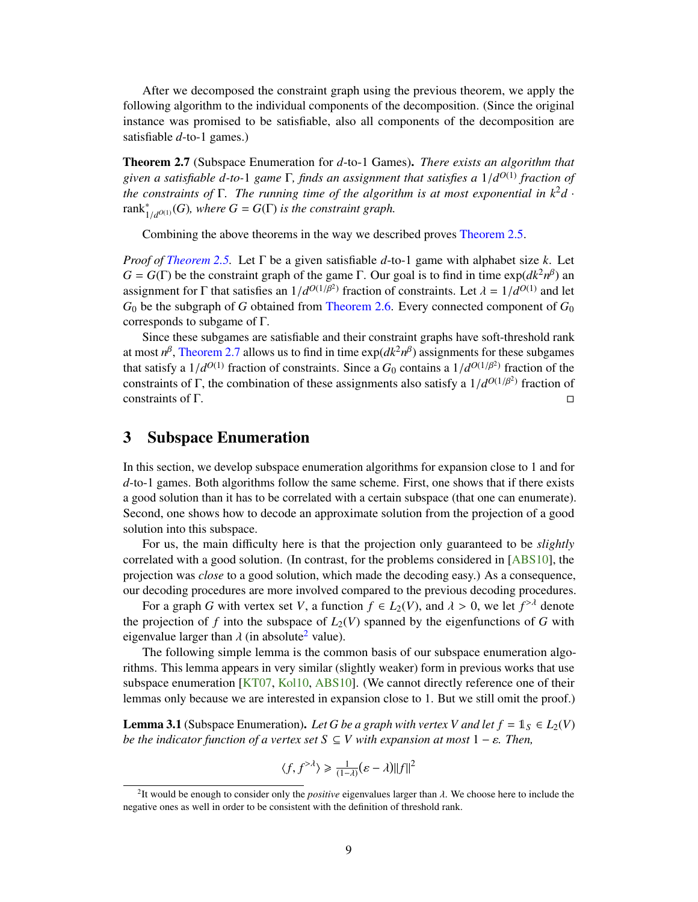<span id="page-10-4"></span>After we decomposed the constraint graph using the previous theorem, we apply the following algorithm to the individual components of the decomposition. (Since the original instance was promised to be satisfiable, also all components of the decomposition are satisfiable *d*-to-1 games.)

<span id="page-10-1"></span>Theorem 2.7 (Subspace Enumeration for *d*-to-1 Games). *There exists an algorithm that given a satisfiable d-to-*<sup>1</sup> *game* <sup>Γ</sup>*, finds an assignment that satisfies a* <sup>1</sup>/*<sup>d</sup> <sup>O</sup>*(1) *fraction of the constraints of* Γ*. The running time of the algorithm is at most exponential in k* <sup>2</sup>*d* · rank<sup>∗</sup>  $i_{1/d^{O(1)}}(G)$ , where  $G = G(\Gamma)$  *is the constraint graph.* 

Combining the above theorems in the way we described proves [Theorem 2.5.](#page-8-1)

*Proof of [Theorem 2.5.](#page-8-1)* Let Γ be a given satisfiable *d*-to-1 game with alphabet size *k*. Let  $G = G(\Gamma)$  be the constraint graph of the game  $\Gamma$ . Our goal is to find in time  $\exp(dk^2n^{\beta})$  and assignment for Γ that satisfies an  $1/d^{O(1/\beta^2)}$  fraction of constraints. Let  $\lambda = 1/d^{O(1)}$  and let  $G_2$  be the subgraph of G obtained from Theorem 2.6. Every connected component of  $G_2$  $G_0$  be the subgraph of *G* obtained from [Theorem 2.6.](#page-9-1) Every connected component of  $G_0$ corresponds to subgame of Γ.

Since these subgames are satisfiable and their constraint graphs have soft-threshold rank at most  $n^{\beta}$ , [Theorem 2.7](#page-10-1) allows us to find in time  $\exp(dk^2n^{\beta})$  assignments for these subgames that satisfy a  $1/d^{O(1)}$  fraction of constraints. Since a  $G_0$  contains a  $1/d^{O(1/\beta^2)}$  fraction of the constraints of  $\Gamma$ , the combination of these assignments also satisfy a  $1/d^{O(1/\beta^2)}$  fraction of constraints of Γ, the combination of these assignments also satisfy a  $1/d^{O(1/\beta^2)}$  fraction of constraints of Γ constraints of  $\Gamma$ .

## <span id="page-10-0"></span>3 Subspace Enumeration

In this section, we develop subspace enumeration algorithms for expansion close to 1 and for *d*-to-1 games. Both algorithms follow the same scheme. First, one shows that if there exists a good solution than it has to be correlated with a certain subspace (that one can enumerate). Second, one shows how to decode an approximate solution from the projection of a good solution into this subspace.

For us, the main difficulty here is that the projection only guaranteed to be *slightly* correlated with a good solution. (In contrast, for the problems considered in [\[ABS10\]](#page-18-1), the projection was *close* to a good solution, which made the decoding easy.) As a consequence, our decoding procedures are more involved compared to the previous decoding procedures.

For a graph *G* with vertex set *V*, a function  $f \in L_2(V)$ , and  $\lambda > 0$ , we let  $f^{>\lambda}$  denote projection of *f* into the subspace of  $L_2(V)$  spanned by the eigenfunctions of *G* with the projection of f into the subspace of  $L_2(V)$  spanned by the eigenfunctions of G with eigenvalue larger than  $\lambda$  (in absolute<sup>[2](#page-10-2)</sup> value).

The following simple lemma is the common basis of our subspace enumeration algorithms. This lemma appears in very similar (slightly weaker) form in previous works that use subspace enumeration [\[KT07,](#page-19-12) [Kol10,](#page-19-13) [ABS10\]](#page-18-1). (We cannot directly reference one of their lemmas only because we are interested in expansion close to 1. But we still omit the proof.)

<span id="page-10-3"></span>**Lemma 3.1** (Subspace Enumeration). Let *G* be a graph with vertex *V* and let  $f = 1_S \in L_2(V)$ *be the indicator function of a vertex set*  $S \subseteq V$  with expansion at most  $1 - \varepsilon$ . Then,

$$
\langle f, f^{> \lambda} \rangle \geq \frac{1}{(1-\lambda)} (\varepsilon - \lambda) ||f||^2
$$

<span id="page-10-2"></span><sup>&</sup>lt;sup>2</sup>It would be enough to consider only the *positive* eigenvalues larger than  $\lambda$ . We choose here to include the attive ones as well in order to be consistent with the definition of threshold rank negative ones as well in order to be consistent with the definition of threshold rank.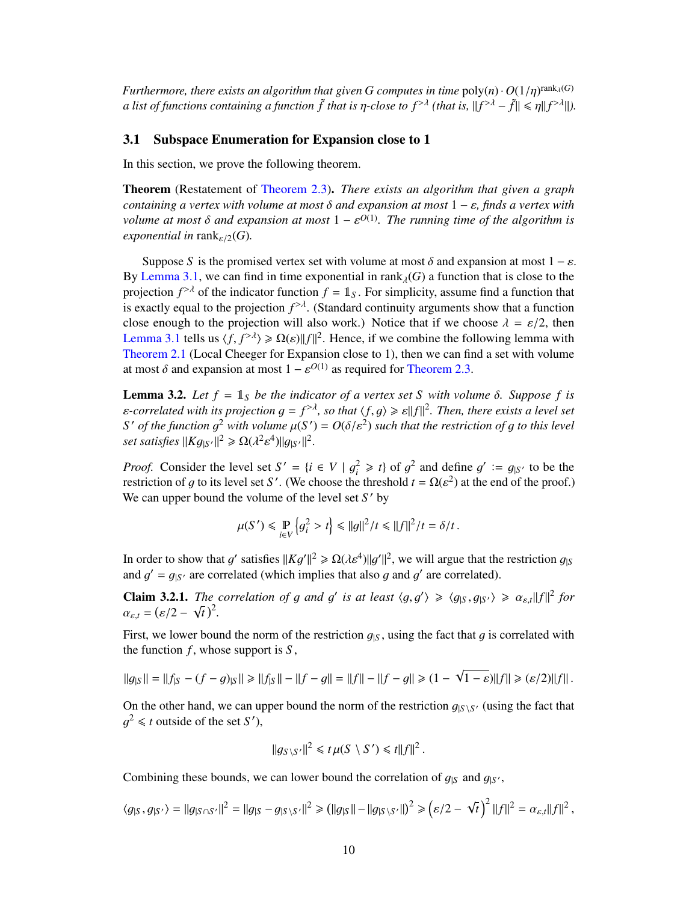*Furthermore, there exists an algorithm that given G computes in time*  $\text{poly}(n) \cdot O(1/\eta)^{\text{rank}_{\lambda}(G)}$ <br>*a list of functions containing a function f* that is n-close to  $f^{> \lambda}$  (that is  $||f^{> \lambda} - f|| \leq \text{all } f^{> \lambda}||$ ) *a list of functions containing a function*  $\tilde{f}$  *that is*  $\eta$ *-close to*  $f^{\geq \lambda}$  *(that is,*  $||f^{\geq \lambda} - \tilde{f}|| \leq \eta ||f^{\geq \lambda}||$ ).

#### <span id="page-11-0"></span>3.1 Subspace Enumeration for Expansion close to 1

In this section, we prove the following theorem.

Theorem (Restatement of [Theorem 2.3\)](#page-8-3). *There exists an algorithm that given a graph containing a vertex with volume at most* δ *and expansion at most* <sup>1</sup> <sup>−</sup> ε*, finds a vertex with volume at most*  $\delta$  *and expansion at most*  $1 - \varepsilon^{O(1)}$ *. The running time of the algorithm is*<br>exponential in rank  $\omega(G)$ *exponential in* rank<sub> $\varepsilon/2$ </sub>(*G*).

Suppose *S* is the promised vertex set with volume at most  $\delta$  and expansion at most  $1 - \varepsilon$ . By [Lemma 3.1,](#page-10-3) we can find in time exponential in rank<sub> $\lambda$ </sub>(*G*) a function that is close to the projection  $f^{> \lambda}$  of the indicator function  $f = \mathbb{1}_S$ . For simplicity, assume find a function that is exactly equal to the projection  $f^{> \lambda}$ . (Standard continuity arguments show that a function close enough to the projection will also work.) Notice that if we choose  $\lambda = \varepsilon/2$ , then [Lemma 3.1](#page-10-3) tells us  $\langle f, f^{\geq \lambda} \rangle \geq \Omega(\varepsilon) ||f||^2$ . Hence, if we combine the following lemma with<br>Theorem 2.1 (Local Cheeger for Expansion close to 1), then we can find a set with volume [Theorem 2.1](#page-7-3) (Local Cheeger for Expansion close to 1), then we can find a set with volume at most  $\delta$  and expansion at most  $1 - \varepsilon^{O(1)}$  as required for [Theorem 2.3.](#page-8-3)

**Lemma 3.2.** Let  $f = 1$ <sub>*S*</sub> be the indicator of a vertex set *S* with volume  $\delta$ . Suppose  $f$  is  $\varepsilon$ -correlated with its projection  $g = f^{>\lambda}$ , so that  $\langle f, g \rangle \geq \varepsilon ||f||^2$ . Then, there exists a level set  $S'$  of the function of a to this level *S*<sup> $\prime$ </sup> *of the function*  $g^2$  *with volume*  $\mu(S') = O(\delta/\varepsilon^2)$  *such that the restriction of g to this level* set satisfies  $\frac{||K_{Q(3)}||^2}{\delta} > O(\varepsilon^2 c^4) ||g_{33}||^2$ *set satisfies*  $||Kg_{|S'}||^2 \ge \Omega(\lambda^2)$ <sup>4</sup>) $||g_{|S'}||^2$ 

*Proof.* Consider the level set  $S' = \{i \in V \mid g_i^2 \ge t\}$  of  $g^2$  and define  $g' := g_{|S'}$  to be the rectriction of *a* to its level set  $S'$ . (We choose the threshold  $t = O(c^2)$  at the end of the proof) restriction of g to its level set *S'*. (We choose the threshold  $t = \Omega(\varepsilon^2)$  at the end of the proof.)<br>We can upper bound the volume of the level set *S'* by We can upper bound the volume of the level set S' by

$$
\mu(S') \leq \Pr_{i \in V} \left\{ g_i^2 > t \right\} \leq ||g||^2 / t \leq ||f||^2 / t = \delta / t.
$$

In order to show that g' satisfies  $||Kg'||^2 \ge \Omega(\lambda \varepsilon^4) ||g'||^2$ , we will argue that the restriction  $g_{|S}$ <br>and  $g' = g_{|S}$  are correlated (which implies that also g and g' are correlated) and  $g' = g_{|S'}$  are correlated (which implies that also g and g' are correlated).

**Claim 3.2.1.** *The correlation of g and g' is at least*  $\langle g, g' \rangle \geq \langle g_{|S}, g_{|S'} \rangle \geq \alpha_{\varepsilon,t} ||f||^2$  *for*  $\alpha = (s/2 - \sqrt{t})^2$  $\alpha_{\varepsilon,t} = (\varepsilon/2 - \sqrt{t})^2$ .

First, we lower bound the norm of the restriction  $g_{\vert S}$ , using the fact that g is correlated with the function  $f$ , whose support is  $S$ ,

$$
||g_{|S}|| = ||f_{|S} - (f - g)_{|S}|| \ge ||f_{|S}|| - ||f - g|| = ||f|| - ||f - g|| \ge (1 - \sqrt{1 - \varepsilon})||f|| \ge (\varepsilon/2)||f||.
$$

On the other hand, we can upper bound the norm of the restriction  $g_{|S \setminus S'}$  (using the fact that  $g^2 \le t$  outside of the set S<sup>t</sup>) g <sup>2</sup>  $\leq t$  outside of the set *S'*),

$$
||g_{S\setminus S'}||^2 \leq t \mu(S \setminus S') \leq t||f||^2.
$$

Combining these bounds, we can lower bound the correlation of  $g_{|S}$  and  $g_{|S'}$ ,

$$
\langle g_{|S}, g_{|S'}\rangle = \|g_{|S\cap S'}\|^2 = \|g_{|S} - g_{|S\setminus S'}\|^2 \geq \left(\|g_{|S}\| - \|g_{|S\setminus S'}\|\right)^2 \geq \left(\varepsilon/2 - \sqrt{t}\right)^2 \|f\|^2 = \alpha_{\varepsilon,t} \|f\|^2\,,
$$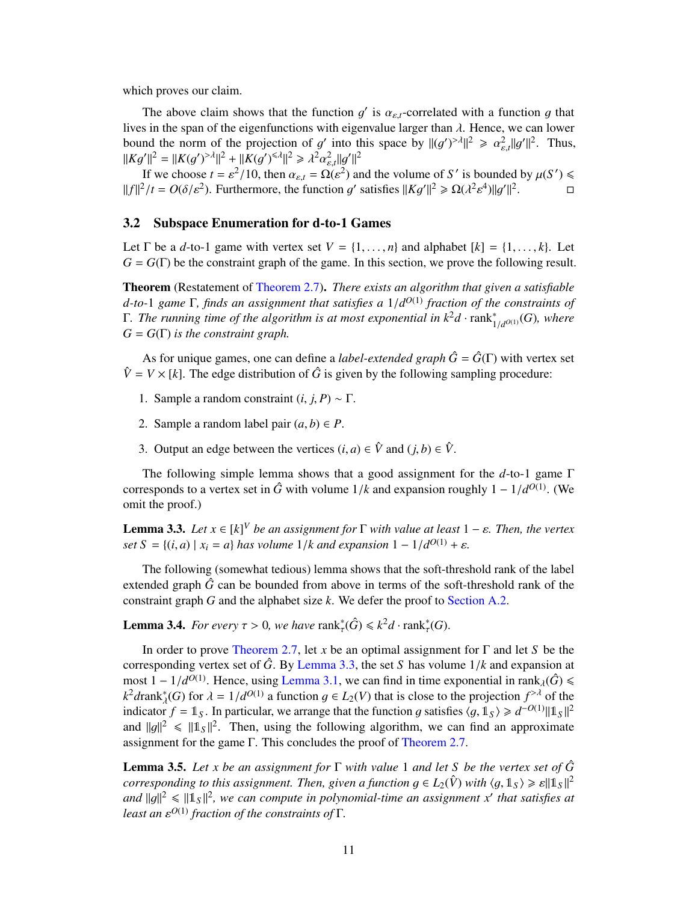which proves our claim.

The above claim shows that the function g' is  $\alpha_{\varepsilon,t}$ -correlated with a function g that is in the span of the eigenfunctions with eigenvalue larger than d. Hence, we can lower lives in the span of the eigenfunctions with eigenvalue larger than  $\lambda$ . Hence, we can lower bound the norm of the projection of g<br> $||K_{\alpha'}||^2 - ||K(\alpha')^{\geq \lambda}||^2 + ||K(\alpha')^{\leq \lambda}||^2 > 1^2$ into this space by  $||(g')^{> \lambda}||^2 \ge \alpha_{\varepsilon,t}^2 ||g'||^2$ . Thus,  $||Kg'||^2 = ||K(g')^{> \lambda}||^2 + ||K(g')^{<\lambda}||^2 \ge \lambda^2 \alpha_{\varepsilon,t}^2 ||g'||^2$ <br>
If we choose  $t = \alpha^2/10$ , then  $\alpha_s = O(\alpha^2)$  31 α ε,*t*

If we choose  $t = \varepsilon^2/10$ , then  $\alpha_{\varepsilon,t} = \Omega(\varepsilon^2)$  and the volume of *S'* is bounded by  $\mu(S') \le$ <br> $\frac{\varepsilon}{\varepsilon}$  =  $\Omega(\varepsilon/2\varepsilon^2)$ . Furthermore, the function *d'* satisfies  $||K_d'||^2 > O(12\varepsilon^4)||g'||^2$  $||f||^2/t = O(\delta/\varepsilon^2)$ . Furthermore, the function g' satisfies  $||Kg'||^2 \ge \Omega(\lambda^2)$ <sup>4</sup>) $||g'||^2$  $\Box$ 

#### <span id="page-12-0"></span>3.2 Subspace Enumeration for d-to-1 Games

Let  $\Gamma$  be a *d*-to-1 game with vertex set  $V = \{1, \ldots, n\}$  and alphabet  $[k] = \{1, \ldots, k\}$ . Let  $G = G(\Gamma)$  be the constraint graph of the game. In this section, we prove the following result.

Theorem (Restatement of [Theorem 2.7\)](#page-10-1). *There exists an algorithm that given a satisfiable d-to-*1 *game* Γ, *finds an assignment that satisfies a*  $1/d^{O(1)}$  *fraction of the constraints of*<br>Γ *The running time of the glaorithm is at most exponential in k<sup>2</sup>d, rapk\* (G) where* **Γ.** The running time of the algorithm is at most exponential in  $k<sup>2</sup>d \cdot rank<sub>1</sub><sup>*</sup>$  $^{*}_{1/d}$ <sup> $^{o(1)}$ </sup> $(G)$ *, where*  $G = G(\Gamma)$  *is the constraint graph.* 

As for unique games, one can define a *label-extended graph*  $\hat{G} = \hat{G}(\Gamma)$  with vertex set  $\hat{V} = V \times [k]$ . The edge distribution of  $\hat{G}$  is given by the following sampling procedure:

- 1. Sample a random constraint  $(i, j, P) \sim Γ$ .
- 2. Sample a random label pair  $(a, b) \in P$ .
- 3. Output an edge between the vertices  $(i, a) \in \hat{V}$  and  $(j, b) \in \hat{V}$ .

The following simple lemma shows that a good assignment for the *d*-to-1 game Γ corresponds to a vertex set in  $\hat{G}$  with volume  $1/k$  and expansion roughly  $1 - 1/d^{O(1)}$ . (We omit the proof) omit the proof.)

<span id="page-12-2"></span>**Lemma 3.3.** *Let*  $x \in [k]^V$  *be an assignment for*  $\Gamma$  *with value at least*  $1 - \varepsilon$ *. Then, the vertex* set  $S = \{(i, a) | x_i = a\}$  has volume 1 /*k* and expansion  $1 - 1/d0(1) + \varepsilon$ *set*  $S = \{(i, a) | x_i = a\}$  *has volume*  $1/k$  *and expansion*  $1 - 1/d^{O(1)} + \varepsilon$ *.* 

The following (somewhat tedious) lemma shows that the soft-threshold rank of the label extended graph  $\hat{G}$  can be bounded from above in terms of the soft-threshold rank of the constraint graph *G* and the alphabet size *k*. We defer the proof to [Section A.2.](#page-20-2)

<span id="page-12-1"></span>**Lemma 3.4.** *For every*  $\tau > 0$ , *we have*  $\text{rank}_{\tau}^*(\hat{G}) \leq k^2 d \cdot \text{rank}_{\tau}^*(G)$ .

In order to prove [Theorem 2.7,](#page-10-1) let *x* be an optimal assignment for Γ and let *S* be the corresponding vertex set of  $\hat{G}$ . By [Lemma 3.3,](#page-12-2) the set *S* has volume  $1/k$  and expansion at most 1 − 1/*d*<sup>O(1)</sup>. Hence, using [Lemma 3.1,](#page-10-3) we can find in time exponential in rank<sub>λ</sub>( $\hat{G}$ )  $\leq$ <br> $k^2$ *drank\*(G*) for  $\lambda$  − 1/*d*<sup>O(1)</sup> a function  $a \in L_2(V)$  that is close to the projection  $f^{>λ}$  of the  $k^2$ *d*rank<sup>\*</sup><sub> $\lambda$ </sub>(*G*) for  $\lambda = 1/d^{O(1)}$  a function  $g \in L_2(V)$  that is close to the projection  $f^{>\lambda}$  of the indicator  $f = \mathbb{1}_S$ . In particular, we arrange that the function *a* satisfies  $(a, \mathbb{1}_S) > d^{-O(1)} ||\mathbb{1}_S$ indicator *f* = 1<sup>*S*</sup>. In particular, we arrange that the function g satisfies  $\langle g, 1 \rangle \ge d^{-O(1)} ||1 \rangle ||1 \rangle ||^2$ <br>and  $||a||^2 \le ||1 \rangle ||^2$ . Then, using the following algorithm, we can find an approximate and  $||g||^2 \le ||1_S||^2$ . Then, using the following algorithm, we can find an approximate<br>assignment for the game  $\Gamma$ . This concludes the proof of Theorem 2.7 assignment for the game Γ. This concludes the proof of [Theorem 2.7.](#page-10-1)

**Lemma 3.5.** Let *x* be an assignment for  $\Gamma$  with value 1 and let *S* be the vertex set of  $\hat{G}$ *corresponding to this assignment. Then, given a function*  $g \in L_2(\hat{V})$  with  $\langle g, 1_S \rangle \geq \varepsilon ||1_S||^2$ <br>and  $||a||^2 < ||1_B||^2$ , we can compute in polynomial time an assignment x' that satisfies at and  $||g||^2 \le ||1_S||^2$ , we can compute in polynomial-time an assignment *x*' that satisfies at least an  $c^{O(1)}$  fraction of the constraints of  $\Gamma$ *least an* ε *<sup>O</sup>*(1) *fraction of the constraints of* Γ*.*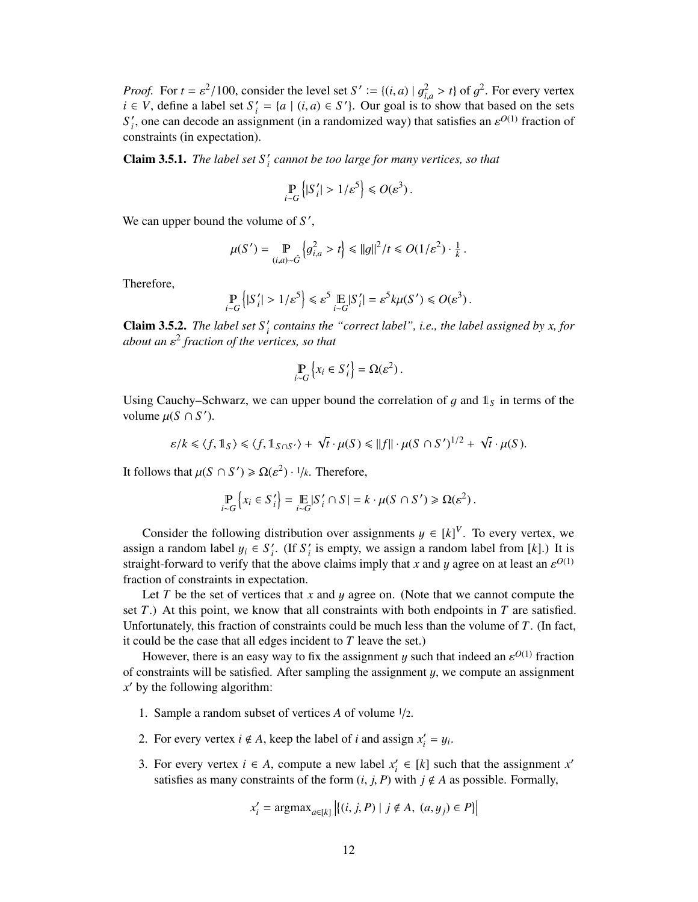*Proof.* For  $t = \varepsilon^2/100$ , consider the level set  $S' := \{(i, a) | g_{i,a}^2 > t\}$  of  $g^2$ . For every vertex  $i \in V$  define a label set  $S' = \{a | (i, a) \in S'\}$ . Our goal is to show that based on the sets *i*,  $\in V$ , define a label set  $S' = \{a \mid (i, a) \in S'\}$ . Our goal is to  $\alpha'_{i} = \{a \mid (i, a) \in S'\}$ . Our goal is to show that based on the sets appear (in a randomized way) that satisfies an  $s^{O(1)}$  fraction of  $S_i'$  $\zeta_i$ , one can decode an assignment (in a randomized way) that satisfies an  $\varepsilon^{O(1)}$  fraction of postraints (in expectation) constraints (in expectation).

**Claim 3.5.1.** *The label set*  $S_i'$  *cannot be too large for many vertices, so that* 

$$
\Pr_{i \sim G} \left\{ |S'_i| > 1/\varepsilon^5 \right\} \leq O(\varepsilon^3).
$$

We can upper bound the volume of  $S'$ ,

$$
\mu(S') = \mathop{\mathbb{P}}_{(i,a)\sim\hat{G}}\left\{g_{i,a}^2 > t\right\} \leq ||g||^2/t \leq O(1/\varepsilon^2) \cdot \frac{1}{k}.
$$

Therefore,

$$
\Pr_{i \sim G} \left\{ |S'_i| > 1/\varepsilon^5 \right\} \leq \varepsilon^5 \mathop{\mathbb{E}}_{i \sim G} |S'_i| = \varepsilon^5 k \mu(S') \leq O(\varepsilon^3).
$$

**Claim 3.5.2.** *The label set*  $S_i'$ *i contains the "correct label", i.e., the label assigned by x, for about an* ε 2 *fraction of the vertices, so that*

$$
\mathop{\mathbb{P}}_{i \sim G} \left\{ x_i \in S'_i \right\} = \Omega(\varepsilon^2).
$$

Using Cauchy–Schwarz, we can upper bound the correlation of g and  $\mathbb{1}_S$  in terms of the volume  $\mu(S \cap S')$ .

$$
\varepsilon/k \leq \langle f, 1 \, \, \rangle \leq \langle f, 1 \, \, \, \delta_0 \, \, \delta_1 \rangle + \sqrt{t} \cdot \mu(S) \leq ||f|| \cdot \mu(S \cap S')^{1/2} + \sqrt{t} \cdot \mu(S).
$$

It follows that  $\mu(S \cap S') \ge \Omega(\varepsilon^2) \cdot 1/k$ . Therefore,

$$
\Pr_{i \sim G} \left\{ x_i \in S'_i \right\} = \mathop{\mathbb{E}}_{i \sim G} |S'_i \cap S| = k \cdot \mu(S \cap S') \ge \Omega(\varepsilon^2).
$$

Consider the following distribution over assignments  $y \in [k]^V$ . To every vertex, we assume a random label  $y \in S'$ , (If S' is empty, we assign a random label from [k]). It is assign a random label  $y_i \in S'_i$ <br>straight forward to verify that  $\int_i$ . (If  $S_i'$  $i<sub>i</sub>$  is empty, we assign a random label from [ $k$ ].) It is straight-forward to verify that the above claims imply that *x* and *y* agree on at least an  $\varepsilon^{O(1)}$ fraction of constraints in expectation.

Let *T* be the set of vertices that *x* and *y* agree on. (Note that we cannot compute the set *T*.) At this point, we know that all constraints with both endpoints in *T* are satisfied. Unfortunately, this fraction of constraints could be much less than the volume of *T*. (In fact, it could be the case that all edges incident to *T* leave the set.)

However, there is an easy way to fix the assignment y such that indeed an  $\varepsilon^{O(1)}$  fraction operative will be satisfied. After sampling the assignment y we compute an assignment of constraints will be satisfied. After sampling the assignment  $y$ , we compute an assignment  $x'$  by the following algorithm:

- 1. Sample a random subset of vertices *<sup>A</sup>* of volume <sup>1</sup>/2.
- 2. For every vertex  $i \notin A$ , keep the label of *i* and assign  $x_i'$  $y_i' = y_i.$
- 3. For every vertex  $i \in A$ , compute a new label  $x_i$  $x_i' \in [k]$  such that the assignment  $x'$ satisfies as many constraints of the form  $(i, j, P)$  with  $j \notin A$  as possible. Formally,

$$
x'_{i} = \text{argmax}_{a \in [k]} | \{ (i, j, P) \mid j \notin A, (a, y_{j}) \in P \} |
$$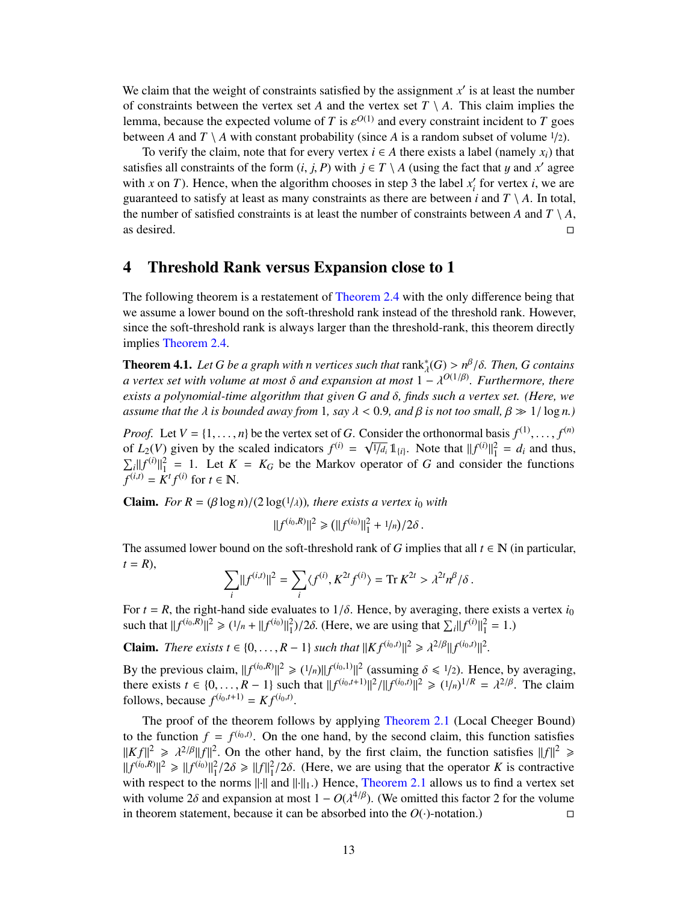We claim that the weight of constraints satisfied by the assignment  $x'$  is at least the number of constraints between the vertex set *A* and the vertex set  $T \setminus A$ . This claim implies the lemma, because the expected volume of *T* is  $\varepsilon^{O(1)}$  and every constraint incident to *T* goes<br>between *A* and *T*  $\setminus$  *A* with constant probability (since *A* is a random subset of volume 1/2) between *A* and *T* \ *A* with constant probability (since *A* is a random subset of volume  $\frac{1}{2}$ ).

To verify the claim, note that for every vertex  $i \in A$  there exists a label (namely  $x_i$ ) that satisfies all constraints of the form  $(i, j, P)$  with  $j \in T \setminus A$  (using the fact that y and *x'* agree<br>with  $x$  on *T*). Hence, when the algorithm chooses in step 3 the label *x'* for vertex *i*, we are with *x* on *T*). Hence, when the algorithm chooses in step 3 the label  $x_i$  $i<sub>i</sub>$  for vertex *i*, we are guaranteed to satisfy at least as many constraints as there are between  $i$  and  $T \setminus A$ . In total, the number of satisfied constraints is at least the number of constraints between *A* and  $T \setminus A$ , as desired.  $\Box$ 

### <span id="page-14-0"></span>4 Threshold Rank versus Expansion close to 1

The following theorem is a restatement of [Theorem 2.4](#page-8-2) with the only difference being that we assume a lower bound on the soft-threshold rank instead of the threshold rank. However, since the soft-threshold rank is always larger than the threshold-rank, this theorem directly implies [Theorem 2.4.](#page-8-2)

<span id="page-14-1"></span>**Theorem 4.1.** *Let G be a graph with n vertices such that*  $rank_{\lambda}^{*}(G) > n^{\beta}/\delta$ *. Then, G contains* a vertex set with volume at most  $\delta$  and expansion at most  $1 - \lambda^{O(1/\beta)}$ . *Eurthermore, there a vertex set with volume at most*  $\delta$  *and expansion at most*  $1 - \lambda^{O(1/\beta)}$ *. Furthermore, there vertis a polynomial-time algorithm that given*  $G$  *and*  $\delta$  *finds such a vertex set* (Here, *we exists a polynomial-time algorithm that given <sup>G</sup> and* δ*, finds such a vertex set. (Here, we assume that the*  $\lambda$  *is bounded away from* 1*, say*  $\lambda < 0.9$ *, and*  $\beta$  *is not too small,*  $\beta \gg 1/\log n$ *)* 

*Proof.* Let  $V = \{1, \ldots, n\}$  be the vertex set of *G*. Consider the orthonormal basis  $f^{(1)}, \ldots, f^{(n)}$  of  $L_2(V)$  given by the scaled indicators  $f^{(i)} = \lambda \sqrt{1/L} \mathbb{1}_{\{0\}}$ . Note that  $||f^{(i)}||^2 = d$ , and thus of  $L_2(V)$  given by the scaled indicators  $f^{(i)} = \sqrt{1/d_i} 1\!\!1_{\{i\}}$ . Note that  $||f^{(i)}||_1^2 = d_i$  and thus,<br> $\nabla ||f^{(i)}||_2^2 = 1$ . Let  $K = K_2$  be the Markov operator of G and consider the functions  $\sum_{i} ||f^{(i)}||_1^2 = 1$ . Let  $K = K_G$  be the Markov operator of *G* and consider the functions  $f^{(i,t)} = K^t f^{(i)}$  for  $t \in \mathbb{N}$ .

**Claim.** *For R* =  $(\beta \log n)/(2 \log(1/\lambda))$ *, there exists a vertex i<sub>0</sub> with* 

$$
||f^{(i_0,R)}||^2 \ge (||f^{(i_0)}||_1^2 + 1/n)/2\delta.
$$

The assumed lower bound on the soft-threshold rank of *G* implies that all  $t \in \mathbb{N}$  (in particular,  $t = R$ ),

$$
\sum_i ||f^{(i,t)}||^2 = \sum_i \langle f^{(i)}, K^{2t} f^{(i)} \rangle = \text{Tr } K^{2t} > \lambda^{2t} n^{\beta} / \delta.
$$

For  $t = R$ , the right-hand side evaluates to  $1/\delta$ . Hence, by averaging, there exists a vertex  $i_0$  such that  $||f^{(i_0,R)}||^2 \ge (1/n + ||f^{(i_0)}||_1^2)/2\delta$ . (Here, we are using that  $\sum_i ||f^{(i)}||_1^2 = 1$ .)

**Claim.** *There exists t* ∈ {0, . . . , *R* − 1} *such that*  $||Kf^{(i_0,t)}||^2 \ge \lambda^{2/\beta} ||f^{(i_0,t)}||^2$ .

By the previous claim,  $||f^{(i_0,R)}||^2 \ge (1/n)||f^{(i_0,1)}||^2$  (assuming  $\delta \le 1/2$ ). Hence, by averaging, there exists  $t \in [0, R-1]$  such that  $||f^{(i_0,t+1)}||^2/||f^{(i_0,t)||^2} > (1/n)^{1/R} - \frac{3^{2/\beta}}{R}$ . The claim there exists  $t \in \{0, ..., R-1\}$  such that  $||f^{(i_0,t+1)}||^2/||f^{(i_0,t)}||^2 \ge (1/n)^{1/R} = \lambda^{2/\beta}$ . The claim follows because  $f^{(i_0,t+1)} - K f^{(i_0,t)}$ follows, because  $f^{(i_0,t+1)} = K f^{(i_0,t)}$ .

The proof of the theorem follows by applying [Theorem 2.1](#page-7-3) (Local Cheeger Bound) to the function  $f = f^{(i_0,t)}$ . On the one hand, by the second claim, this function satisfies  $||Kf||^2 \ge \lambda^{2/\beta} ||f||^2$ . On the other hand, by the first claim, the function satisfies  $||f||^2 \ge$ <br> $||f(i_0, R)||^2 > ||f(i_0)||^2/2\delta > ||f||^2/2\delta$  (Here we are using that the operator K is contractive  $||f^{(i_0,R)}||^2 \ge ||f^{(i_0)}||_1^2/2\delta \ge ||f||_1^2/2\delta$ . (Here, we are using that the operator *K* is contractive<br>with respect to the norms lill and lill, ) Hence, Theorem 2.1 allows us to find a vertex set with respect to the norms  $\|\cdot\|$  and  $\|\cdot\|_1$ .) Hence, [Theorem 2.1](#page-7-3) allows us to find a vertex set with volume 2δ and expansion at most  $1 - O(\lambda^{4/\beta})$ . (We omitted this factor 2 for the volume<br>in theorem statement, because it can be absorbed into the  $O(\lambda)$  notation.) in theorem statement, because it can be absorbed into the  $O(\cdot)$ -notation.)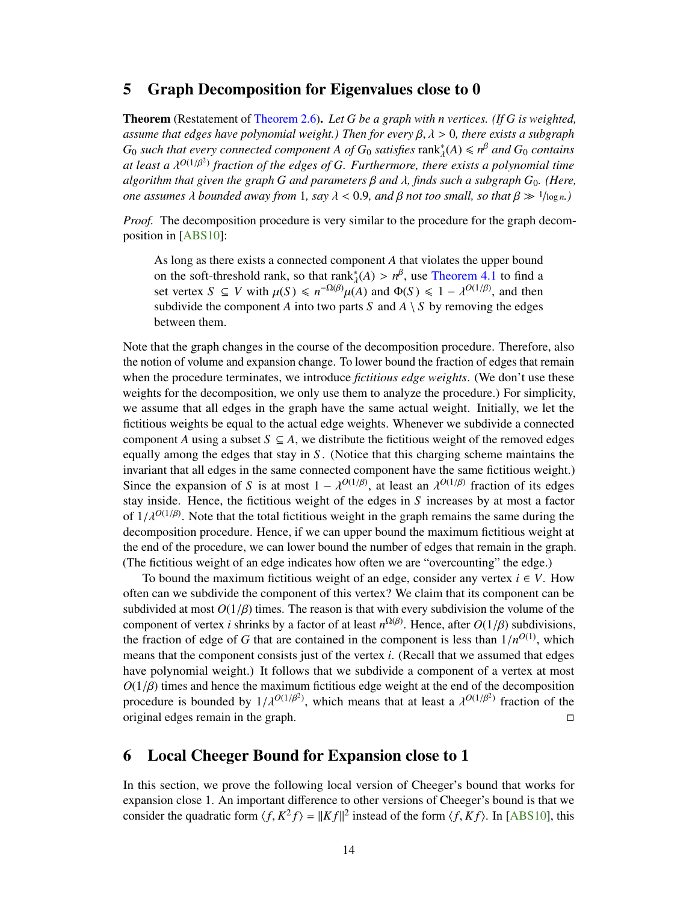### <span id="page-15-2"></span><span id="page-15-0"></span>5 Graph Decomposition for Eigenvalues close to 0

Theorem (Restatement of [Theorem 2.6\)](#page-9-1). *Let G be a graph with n vertices. (If G is weighted, assume that edges have polynomial weight.) Then for every* β, λ > <sup>0</sup>*, there exists a subgraph*  $G_0$  *such that every connected component A of*  $G_0$  *satisfies*  $\text{rank}_{\lambda}^*(A) \leq n^{\beta}$  *and*  $G_0$  *contains at least a*  $\lambda^{O(1/\beta^2)}$  fraction of the edges of *G. Furthermore, there exists a polynomial time*<br>algorithm that given the araph *G* and parameters *B* and *L* finds such a subgraph *G*. (Here *algorithm that given the graph <sup>G</sup> and parameters* β *and* λ*, finds such a subgraph <sup>G</sup>*0*. (Here, one assumes*  $\lambda$  *bounded away from* 1*, say*  $\lambda < 0.9$ *, and*  $\beta$  *not too small, so that*  $\beta \gg 1/\log n$ *.*)

*Proof.* The decomposition procedure is very similar to the procedure for the graph decomposition in [\[ABS10\]](#page-18-1):

As long as there exists a connected component *A* that violates the upper bound on the soft-threshold rank, so that  $\text{rank}_{\lambda}^*(A) > n^{\beta}$ , use [Theorem 4.1](#page-14-1) to find a<br>set vertex  $S \subseteq V$  with  $\mu(S) \le n^{-\Omega(\beta)} \mu(A)$  and  $\Phi(S) \le 1 - \lambda^{O(1/\beta)}$  and then set vertex *S* ⊆ *V* with  $\mu(S) \le n^{-\Omega(\beta)}\mu(A)$  and  $\Phi(S) \le 1 - \lambda^{O(1/\beta)}$ , and then<br>subdivide the component *A* into two parts *S* and *A* \ *S* by removing the edges subdivide the component *A* into two parts *S* and  $A \setminus S$  by removing the edges between them.

Note that the graph changes in the course of the decomposition procedure. Therefore, also the notion of volume and expansion change. To lower bound the fraction of edges that remain when the procedure terminates, we introduce *fictitious edge weights*. (We don't use these weights for the decomposition, we only use them to analyze the procedure.) For simplicity, we assume that all edges in the graph have the same actual weight. Initially, we let the fictitious weights be equal to the actual edge weights. Whenever we subdivide a connected component *A* using a subset  $S \subseteq A$ , we distribute the fictitious weight of the removed edges equally among the edges that stay in *S* . (Notice that this charging scheme maintains the invariant that all edges in the same connected component have the same fictitious weight.) Since the expansion of *S* is at most  $1 - \lambda^{O(1/\beta)}$ , at least an  $\lambda^{O(1/\beta)}$  fraction of its edges that it most a factor stay inside. Hence, the fictitious weight of the edges in *S* increases by at most a factor of  $1/\lambda^{O(1/\beta)}$ . Note that the total fictitious weight in the graph remains the same during the decomposition procedure. Hence if we can upper bound the maximum fictitious weight at decomposition procedure. Hence, if we can upper bound the maximum fictitious weight at the end of the procedure, we can lower bound the number of edges that remain in the graph. (The fictitious weight of an edge indicates how often we are "overcounting" the edge.)

To bound the maximum fictitious weight of an edge, consider any vertex  $i \in V$ . How often can we subdivide the component of this vertex? We claim that its component can be subdivided at most  $O(1/\beta)$  times. The reason is that with every subdivision the volume of the component of vertex *i* shrinks by a factor of at least  $n^{\Omega(\beta)}$ . Hence, after  $O(1/\beta)$  subdivisions, the fraction of edge of *G* that are contained in the component is less than  $1/n^{O(1)}$  which the fraction of edge of *G* that are contained in the component is less than  $1/n^{O(1)}$ , which means that the component consists just of the vertex *i*. (Becall that we assumed that edges means that the component consists just of the vertex *i*. (Recall that we assumed that edges have polynomial weight.) It follows that we subdivide a component of a vertex at most  $O(1/\beta)$  times and hence the maximum fictitious edge weight at the end of the decomposition<br>procedure is bounded by  $1/\sqrt{2^{(1/\beta^2)}}$  which means that at least a  $\sqrt{2^{(1/\beta^2)}}$  fraction of the procedure is bounded by  $1/\lambda^{O(1/\beta^2)}$ , which means that at least a  $\lambda^{O(1/\beta^2)}$  fraction of the original edges remain in the graph original edges remain in the graph.

## <span id="page-15-1"></span>6 Local Cheeger Bound for Expansion close to 1

In this section, we prove the following local version of Cheeger's bound that works for expansion close 1. An important difference to other versions of Cheeger's bound is that we consider the quadratic form  $\langle f, K^2 f \rangle = ||Kf||^2$  instead of the form  $\langle f, Kf \rangle$ . In [\[ABS10\]](#page-18-1), this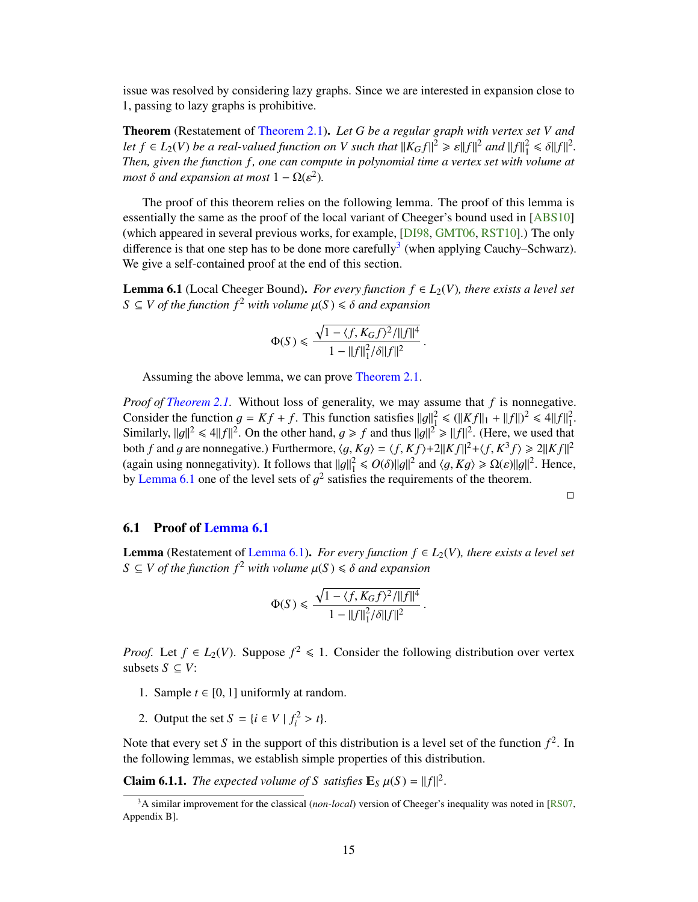<span id="page-16-4"></span>issue was resolved by considering lazy graphs. Since we are interested in expansion close to 1, passing to lazy graphs is prohibitive.

Theorem (Restatement of [Theorem 2.1\)](#page-7-3). *Let G be a regular graph with vertex set V and let*  $f \in L_2(V)$  *be a real-valued function on V such that*  $||K_Gf||^2 \ge \varepsilon ||f||^2$  *and*  $||f||_1^2 \le \delta ||f||^2$ .<br>Then given the function *f* ane can compute in polynomial time a vertex set with volume at *Then, given the function f , one can compute in polynomial time a vertex set with volume at most*  $\delta$  *and expansion at most*  $1 - \Omega(\varepsilon^2)$ *.* 

The proof of this theorem relies on the following lemma. The proof of this lemma is essentially the same as the proof of the local variant of Cheeger's bound used in [\[ABS10\]](#page-18-1) (which appeared in several previous works, for example, [\[DI98,](#page-18-10) [GMT06,](#page-18-11) [RST10\]](#page-19-14).) The only difference is that one step has to be done more carefully<sup>[3](#page-16-2)</sup> (when applying Cauchy–Schwarz). We give a self-contained proof at the end of this section.

<span id="page-16-1"></span>**Lemma 6.1** (Local Cheeger Bound). *For every function*  $f \in L_2(V)$ *, there exists a level set*  $S \subseteq V$  *of the function*  $f^2$  *with volume*  $\mu(S) \leq \delta$  *and expansion* 

$$
\Phi(S) \le \frac{\sqrt{1 - \langle f, K_G f \rangle^2 / ||f||^4}}{1 - ||f||_1^2 / \delta ||f||^2}
$$

Assuming the above lemma, we can prove [Theorem 2.1.](#page-7-3)

*Proof of [Theorem 2.1.](#page-7-3)* Without loss of generality, we may assume that *f* is nonnegative. Consider the function  $g = Kf + f$ . This function satisfies  $||g||_1^2 \le (||Kf||_1 + ||f||)^2 \le 4||f||_1^2$ .<br>Similarly  $||g||_2^2 \le ||f||_2^2$  On the other hand  $g > f$  and thus  $||g||_2^2 \ge ||f||_2^2$ . (Here we used that Similarly,  $||g||^2 \le 4||f||^2$ . On the other hand,  $g \ge f$  and thus  $||g||^2 \ge ||f||^2$ . (Here, we used that both f and g are nonnegative). Eurthermore,  $\langle g, Kg \rangle = \langle f, Kf \rangle + 2||Kf||^2 + \langle f, K^3 f \rangle \ge 2||Kf||^2$ both *f* and *g* are nonnegative.) Furthermore,  $\langle g, Kg \rangle = \langle f, Kf \rangle + 2||Kf||^2 + \langle f, K^3 f \rangle \ge 2||Kf||^2$ <br>(again using nonnegativity). It follows that  $||g||^2 \le O(\delta)||g||^2$  and  $\langle g, Kg \rangle > O(\delta)||g||^2$ . Hence (again using nonnegativity). It follows that  $||g||_1^2 \le O(\delta) ||g||^2$  and  $\langle g, Kg \rangle \ge \Omega(\varepsilon) ||g||^2$ . Hence,<br>by Lamma 6.1 one of the level sets of  $\sigma^2$  satisfies the requirements of the theorem by [Lemma 6.1](#page-16-1) one of the level sets of  $g^2$  satisfies the requirements of the theorem.

 $\Box$ 

#### <span id="page-16-0"></span>6.1 Proof of [Lemma 6.1](#page-16-1)

**Lemma** (Restatement of [Lemma 6.1\)](#page-16-1). *For every function*  $f \in L_2(V)$ *, there exists a level set*  $S \subseteq V$  *of the function f*<sup>2</sup> *with volume*  $\mu(S) \leq \delta$  *and expansion* 

$$
\Phi(S) \le \frac{\sqrt{1 - \langle f, K_G f \rangle^2 / ||f||^4}}{1 - ||f||_1^2 / \delta ||f||^2}
$$

*Proof.* Let  $f \in L_2(V)$ . Suppose  $f^2 \le 1$ . Consider the following distribution over vertex subsets  $S$  ⊂  $V$ :

- 1. Sample  $t \in [0, 1]$  uniformly at random.
- 2. Output the set  $S = \{i \in V \mid f_i^2 > t\}.$

Note that every set *S* in the support of this distribution is a level set of the function  $f^2$ . In the following lemmas, we establish simple properties of this distribution.

<span id="page-16-3"></span>**Claim 6.1.1.** *The expected volume of S satisfies*  $\mathbb{E}_S \mu(S) = ||f||^2$ 

<span id="page-16-2"></span><sup>3</sup>A similar improvement for the classical (*non-local*) version of Cheeger's inequality was noted in [\[RS07,](#page-19-15) Appendix B].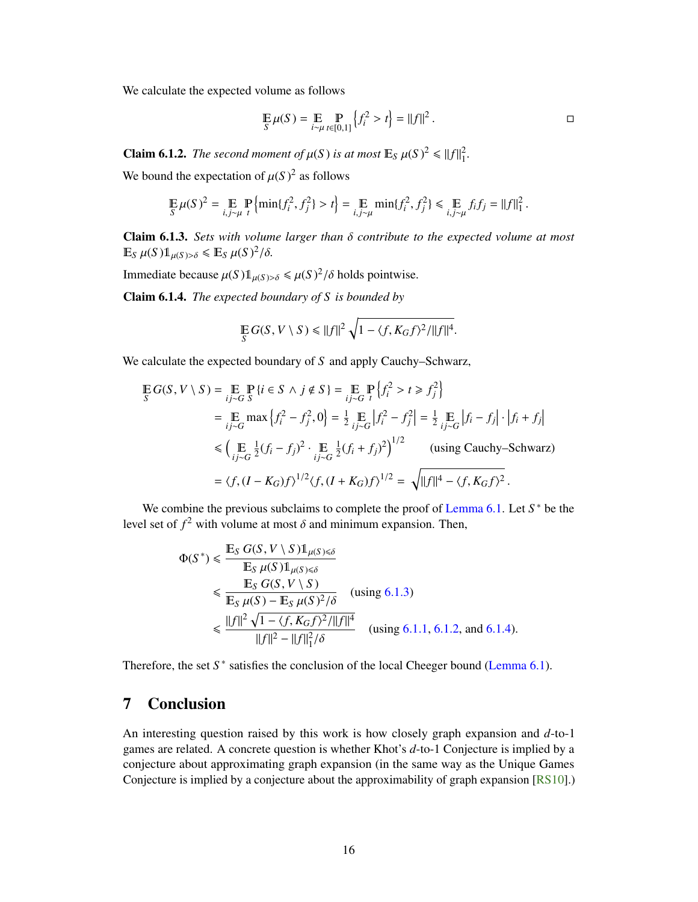<span id="page-17-4"></span>We calculate the expected volume as follows

$$
\mathop{\mathbb{E}}_{S} \mu(S) = \mathop{\mathbb{E}}_{i \sim \mu} \mathop{\mathbb{P}}_{t \in [0,1]} \left\{ f_i^2 > t \right\} = ||f||^2.
$$

<span id="page-17-2"></span>**Claim 6.1.2.** *The second moment of*  $\mu(S)$  *is at most*  $\mathbb{E}_S \mu(S)^2 \le ||f||_1^2$ .

We bound the expectation of  $\mu(S)^2$  as follows

$$
\mathop{\mathbb{E}}_{S} \mu(S)^2 = \mathop{\mathbb{E}}_{i,j \sim \mu} \mathop{\mathbb{P}}_{t} \left\{ \min \{ f_i^2, f_j^2 \} > t \right\} = \mathop{\mathbb{E}}_{i,j \sim \mu} \min \{ f_i^2, f_j^2 \} \leq \mathop{\mathbb{E}}_{i,j \sim \mu} f_i f_j = ||f||_1^2.
$$

<span id="page-17-1"></span>Claim 6.1.3. *Sets with volume larger than* <sup>δ</sup> *contribute to the expected volume at most*  $\mathbb{E}_S \mu(S) \mathbb{1}_{\mu(S) > \delta} \leq \mathbb{E}_S \mu(S)^2$ /δ.

Immediate because  $\mu(S) \mathbb{1}_{\mu(S) > \delta} \leq \mu(S)^2 / \delta$  holds pointwise.

<span id="page-17-3"></span>Claim 6.1.4. *The expected boundary of S is bounded by*

$$
\mathop{\mathbb{E}}_S G(S, V \setminus S) \leq ||f||^2 \sqrt{1 - \langle f, K_G f \rangle^2 / ||f||^4}.
$$

We calculate the expected boundary of *S* and apply Cauchy–Schwarz,

$$
\mathbb{E} G(S, V \setminus S) = \mathbb{E} \mathbb{P} \{ i \in S \land j \notin S \} = \mathbb{E} \mathbb{P} \{ f_i^2 > t \ge f_j^2 \}
$$
\n
$$
= \mathbb{E} \max \{ f_i^2 - f_j^2, 0 \} = \frac{1}{2} \mathbb{E} \left[ f_i^2 - f_j^2 \right] = \frac{1}{2} \mathbb{E} \left[ f_i - f_j \right] \cdot \left| f_i + f_j \right|
$$
\n
$$
\le \left( \mathbb{E} \frac{1}{ij \sim G} \frac{1}{2} (f_i - f_j)^2 \cdot \mathbb{E} \frac{1}{ij \sim G} \frac{1}{2} (f_i + f_j)^2 \right)^{1/2} \quad \text{(using Cauchy–Schwarz)}
$$
\n
$$
= \langle f, (I - K_G)f \rangle^{1/2} \langle f, (I + K_G)f \rangle^{1/2} = \sqrt{\| f \|^4 - \langle f, K_G f \rangle^2}.
$$

We combine the previous subclaims to complete the proof of [Lemma 6.1.](#page-16-1) Let S<sup>\*</sup> be the level set of  $f^2$  with volume at most  $\delta$  and minimum expansion. Then,

$$
\Phi(S^*) \le \frac{\mathbb{E}_S G(S, V \setminus S) 1_{\mu(S) \le \delta}}{\mathbb{E}_S \mu(S) 1_{\mu(S) \le \delta}} \n\le \frac{\mathbb{E}_S G(S, V \setminus S)}{\mathbb{E}_S \mu(S) - \mathbb{E}_S \mu(S)^2 / \delta} \quad \text{(using 6.1.3)} \n\le \frac{||f||^2 \sqrt{1 - \langle f, K_G f \rangle^2 / ||f||^4}}{||f||^2 - ||f||_1^2 / \delta} \quad \text{(using 6.1.1, 6.1.2, and 6.1.4).}
$$

Therefore, the set  $S^*$  satisfies the conclusion of the local Cheeger bound [\(Lemma 6.1\)](#page-16-1).

## <span id="page-17-0"></span>7 Conclusion

An interesting question raised by this work is how closely graph expansion and *d*-to-1 games are related. A concrete question is whether Khot's *d*-to-1 Conjecture is implied by a conjecture about approximating graph expansion (in the same way as the Unique Games Conjecture is implied by a conjecture about the approximability of graph expansion [\[RS10\]](#page-19-11).)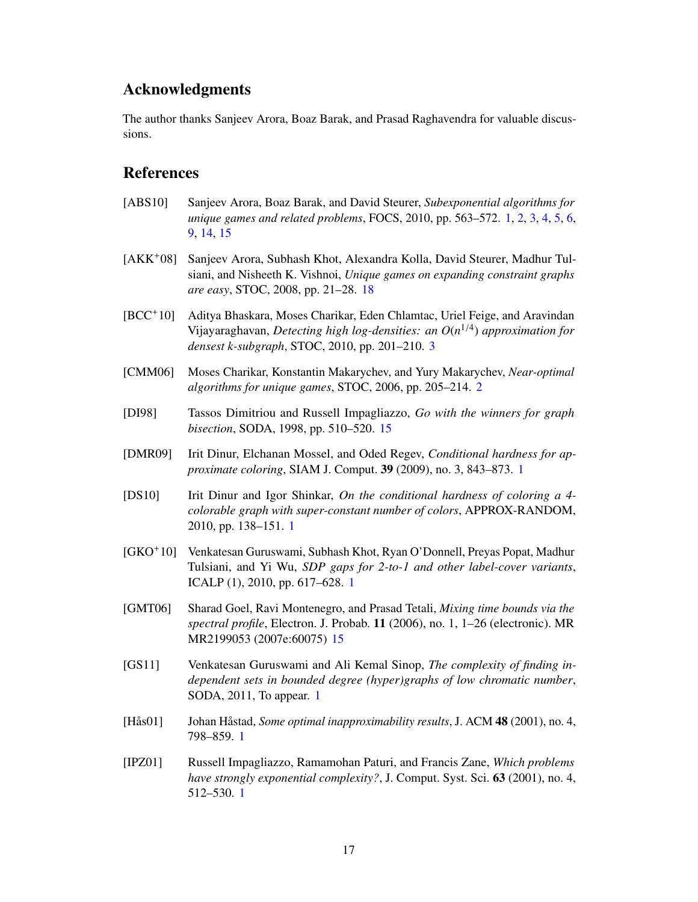## Acknowledgments

<span id="page-18-0"></span>The author thanks Sanjeev Arora, Boaz Barak, and Prasad Raghavendra for valuable discussions.

## References

- <span id="page-18-1"></span>[ABS10] Sanjeev Arora, Boaz Barak, and David Steurer, *Subexponential algorithms for unique games and related problems*, FOCS, 2010, pp. 563–572. [1,](#page-0-0) [2,](#page-1-0) [3,](#page-4-1) [4,](#page-5-0) [5,](#page-6-2) [6,](#page-7-4) [9,](#page-10-4) [14,](#page-15-2) [15](#page-16-4)
- <span id="page-18-12"></span>[AKK+08] Sanjeev Arora, Subhash Khot, Alexandra Kolla, David Steurer, Madhur Tulsiani, and Nisheeth K. Vishnoi, *Unique games on expanding constraint graphs are easy*, STOC, 2008, pp. 21–28. [18](#page-19-16)
- <span id="page-18-9"></span>[BCC+10] Aditya Bhaskara, Moses Charikar, Eden Chlamtac, Uriel Feige, and Aravindan Vijayaraghavan, *Detecting high log-densities: an O*(*n* 1/4 ) *approximation for densest k-subgraph*, STOC, 2010, pp. 201–210. [3](#page-4-1)
- <span id="page-18-8"></span>[CMM06] Moses Charikar, Konstantin Makarychev, and Yury Makarychev, *Near-optimal algorithms for unique games*, STOC, 2006, pp. 205–214. [2](#page-1-0)
- <span id="page-18-10"></span>[DI98] Tassos Dimitriou and Russell Impagliazzo, *Go with the winners for graph bisection*, SODA, 1998, pp. 510–520. [15](#page-16-4)
- <span id="page-18-2"></span>[DMR09] Irit Dinur, Elchanan Mossel, and Oded Regev, *Conditional hardness for approximate coloring*, SIAM J. Comput. 39 (2009), no. 3, 843–873. [1](#page-0-0)
- <span id="page-18-3"></span>[DS10] Irit Dinur and Igor Shinkar, *On the conditional hardness of coloring a 4 colorable graph with super-constant number of colors*, APPROX-RANDOM, 2010, pp. 138–151. [1](#page-0-0)
- <span id="page-18-5"></span>[GKO+10] Venkatesan Guruswami, Subhash Khot, Ryan O'Donnell, Preyas Popat, Madhur Tulsiani, and Yi Wu, *SDP gaps for 2-to-1 and other label-cover variants*, ICALP (1), 2010, pp. 617–628. [1](#page-0-0)
- <span id="page-18-11"></span>[GMT06] Sharad Goel, Ravi Montenegro, and Prasad Tetali, *Mixing time bounds via the spectral profile*, Electron. J. Probab. 11 (2006), no. 1, 1–26 (electronic). MR MR2199053 (2007e:60075) [15](#page-16-4)
- <span id="page-18-4"></span>[GS11] Venkatesan Guruswami and Ali Kemal Sinop, *The complexity of finding independent sets in bounded degree (hyper)graphs of low chromatic number*, SODA, 2011, To appear. [1](#page-0-0)
- <span id="page-18-6"></span>[Hås01] Johan Håstad, *Some optimal inapproximability results*, J. ACM 48 (2001), no. 4, 798–859. [1](#page-0-0)
- <span id="page-18-7"></span>[IPZ01] Russell Impagliazzo, Ramamohan Paturi, and Francis Zane, *Which problems have strongly exponential complexity?*, J. Comput. Syst. Sci. 63 (2001), no. 4, 512–530. [1](#page-0-0)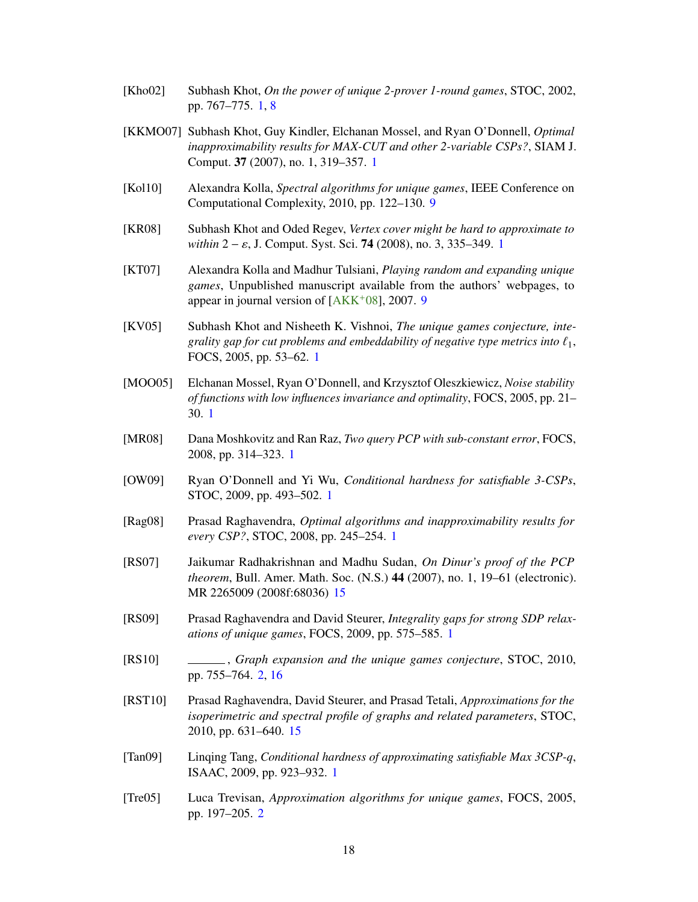- <span id="page-19-16"></span><span id="page-19-0"></span>[Kho02] Subhash Khot, *On the power of unique 2-prover 1-round games*, STOC, 2002, pp. 767–775. [1,](#page-0-0) [8](#page-9-2)
- <span id="page-19-1"></span>[KKMO07] Subhash Khot, Guy Kindler, Elchanan Mossel, and Ryan O'Donnell, *Optimal inapproximability results for MAX-CUT and other 2-variable CSPs?*, SIAM J. Comput. 37 (2007), no. 1, 319–357. [1](#page-0-0)
- <span id="page-19-13"></span>[Kol10] Alexandra Kolla, *Spectral algorithms for unique games*, IEEE Conference on Computational Complexity, 2010, pp. 122–130. [9](#page-10-4)
- <span id="page-19-3"></span>[KR08] Subhash Khot and Oded Regev, *Vertex cover might be hard to approximate to within* 2 − ε, J. Comput. Syst. Sci. **74** (2008), no. 3, 335–349. [1](#page-0-0)
- <span id="page-19-12"></span>[KT07] Alexandra Kolla and Madhur Tulsiani, *Playing random and expanding unique games*, Unpublished manuscript available from the authors' webpages, to appear in journal version of [\[AKK](#page-18-12)+08], 2007. [9](#page-10-4)
- <span id="page-19-7"></span>[KV05] Subhash Khot and Nisheeth K. Vishnoi, *The unique games conjecture, integrality gap for cut problems and embeddability of negative type metrics into*  $\ell_1$ , FOCS, 2005, pp. 53–62. [1](#page-0-0)
- <span id="page-19-2"></span>[MOO05] Elchanan Mossel, Ryan O'Donnell, and Krzysztof Oleszkiewicz, *Noise stability of functions with low influences invariance and optimality*, FOCS, 2005, pp. 21– 30. [1](#page-0-0)
- <span id="page-19-9"></span>[MR08] Dana Moshkovitz and Ran Raz, *Two query PCP with sub-constant error*, FOCS, 2008, pp. 314–323. [1](#page-0-0)
- <span id="page-19-5"></span>[OW09] Ryan O'Donnell and Yi Wu, *Conditional hardness for satisfiable 3-CSPs*, STOC, 2009, pp. 493–502. [1](#page-0-0)
- <span id="page-19-4"></span>[Rag08] Prasad Raghavendra, *Optimal algorithms and inapproximability results for every CSP?*, STOC, 2008, pp. 245–254. [1](#page-0-0)
- <span id="page-19-15"></span>[RS07] Jaikumar Radhakrishnan and Madhu Sudan, *On Dinur's proof of the PCP theorem*, Bull. Amer. Math. Soc. (N.S.) 44 (2007), no. 1, 19–61 (electronic). MR 2265009 (2008f:68036) [15](#page-16-4)
- <span id="page-19-8"></span>[RS09] Prasad Raghavendra and David Steurer, *Integrality gaps for strong SDP relaxations of unique games*, FOCS, 2009, pp. 575–585. [1](#page-0-0)
- <span id="page-19-11"></span>[RS10] , *Graph expansion and the unique games conjecture*, STOC, 2010, pp. 755–764. [2,](#page-1-0) [16](#page-17-4)
- <span id="page-19-14"></span>[RST10] Prasad Raghavendra, David Steurer, and Prasad Tetali, *Approximations for the isoperimetric and spectral profile of graphs and related parameters*, STOC, 2010, pp. 631–640. [15](#page-16-4)
- <span id="page-19-6"></span>[Tan09] Linqing Tang, *Conditional hardness of approximating satisfiable Max 3CSP-q*, ISAAC, 2009, pp. 923–932. [1](#page-0-0)
- <span id="page-19-10"></span>[Tre05] Luca Trevisan, *Approximation algorithms for unique games*, FOCS, 2005, pp. 197–205. [2](#page-1-0)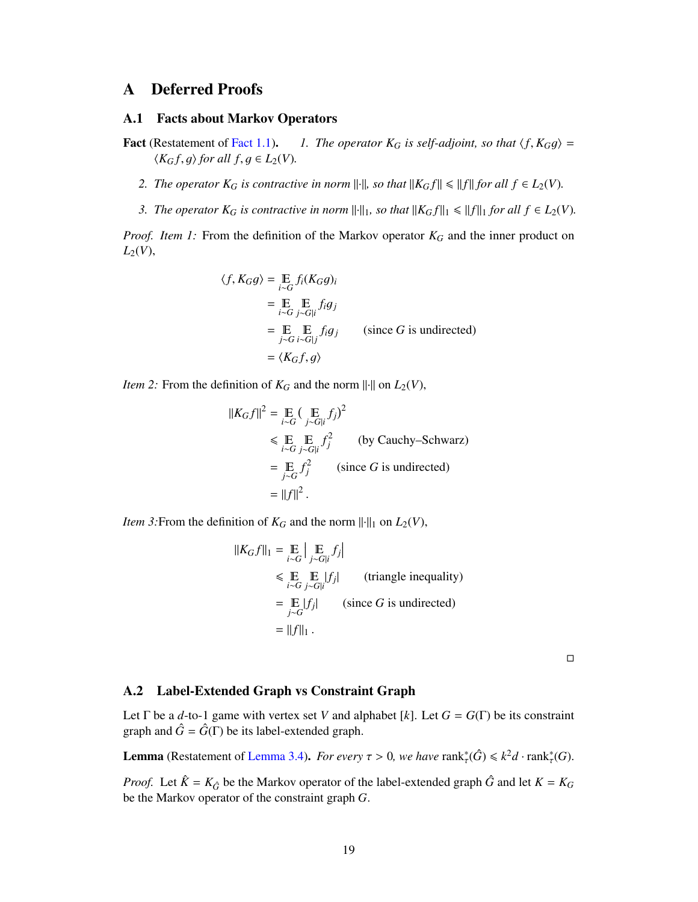## <span id="page-20-0"></span>A Deferred Proofs

#### <span id="page-20-1"></span>A.1 Facts about Markov Operators

- **Fact** (Restatement of [Fact 1.1\)](#page-6-3). *1. The operator*  $K_G$  *is self-adjoint, so that*  $\langle f, K_G g \rangle =$  $\langle K_G f, g \rangle$  for all  $f, g \in L_2(V)$ .
	- *2. The operator*  $K_G$  *is contractive in norm*  $\|\cdot\|$ *, so that*  $\|K_Gf\| \le \|f\|$  *for all*  $f \in L_2(V)$ *.*
	- *3. The operator*  $K_G$  *is contractive in norm*  $\|\cdot\|_1$ *, so that*  $\|K_Gf\|_1 \le \|f\|_1$  *for all*  $f \in L_2(V)$ *.*

*Proof. Item 1:* From the definition of the Markov operator *K<sup>G</sup>* and the inner product on  $L_2(V)$ ,

$$
\langle f, K_G g \rangle = \mathop{\mathbb{E}}_{i \sim G} f_i(K_G g)_i
$$
  
= 
$$
\mathop{\mathbb{E}}_{i \sim G} \mathop{\mathbb{E}}_{j \sim G | i} f_i g_j
$$
  
= 
$$
\mathop{\mathbb{E}}_{j \sim G} \mathop{\mathbb{E}}_{i \sim G | j} f_i g_j
$$
 (since *G* is undirected)  
= 
$$
\langle K_G f, g \rangle
$$

*Item 2:* From the definition of  $K_G$  and the norm  $\|\cdot\|$  on  $L_2(V)$ ,

$$
||K_G f||^2 = \mathop{\mathbb{E}}_{i \sim G} (\mathop{\mathbb{E}}_{j \sim G|i} f_j)^2
$$
  
\$\leqslant \mathop{\mathbb{E}}\_{i \sim G} \mathop{\mathbb{E}}\_{j \sim G|i} f\_j^2\$ (by Cauchy–Schwarz)  
= 
$$
\mathop{\mathbb{E}}_{j \sim G} f_j^2$ (since G is undirected)= ||f||^2.
$$

*Item 3:* From the definition of  $K_G$  and the norm  $\|\cdot\|_1$  on  $L_2(V)$ ,

$$
||K_G f||_1 = \mathop{\mathbb{E}}_{i \sim G} \Big| \mathop{\mathbb{E}}_{j \sim G|i} f_j \Big|
$$
  
\$\leqslant \mathop{\mathbb{E}}\_{i \sim G} \mathop{\mathbb{E}}\_{j \sim G|i} |f\_j|\$ (triangle inequality)  
= \mathop{\mathbb{E}}\_{j \sim G} |f\_j|\$ (since G is undirected)  
= ||f||\_1.

 $\Box$ 

#### <span id="page-20-2"></span>A.2 Label-Extended Graph vs Constraint Graph

Let  $\Gamma$  be a *d*-to-1 game with vertex set *V* and alphabet [*k*]. Let  $G = G(\Gamma)$  be its constraint graph and  $\hat{G} = \hat{G}(\Gamma)$  be its label-extended graph.

**Lemma** (Restatement of [Lemma 3.4\)](#page-12-1). *For every*  $\tau > 0$ , we have  $\text{rank}_{\tau}^*(\hat{G}) \leq k^2 d \cdot \text{rank}_{\tau}^*(G)$ .

*Proof.* Let  $\hat{K} = K_{\hat{G}}$  be the Markov operator of the label-extended graph  $\hat{G}$  and let  $K = K_G$ be the Markov operator of the constraint graph *G*.